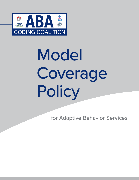

# Model Coverage **Policy**

for Adaptive Behavior Services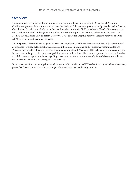# **Overview**

This document is a model health insurance coverage policy. It was developed in 2020 by the ABA Coding Coalition (representatives of the Association of Professional Behavior Analysts, Autism Speaks, Behavior Analyst Certification Board, Council of Autism Service Providers, and their CPT® consultant). The Coalition comprises most of the individuals and organizations who authored the application that was submitted to the American Medical Association in 2016 to obtain Category I CPT® codes for adaptive behavior (applied behavior analysis; ABA) assessment and treatment services.

The purpose of this model coverage policy is to help providers of ABA services communicate with payers about appropriate coverage determinations, including indications, limitations, and competence recommendations. Providers may use this document in conversations with Medicaid, Medicare, TRICARE, and commercial payers. Many commercial payers have national policies, but several have local discretion. At present there is considerable variability across payers in policies regarding these services. We encourage use of this model coverage policy to enhance consistency in the coverage of ABA services.

If you have questions regarding this model coverage policy or the 2019 CPT® codes for adaptive behavior services, please feel free to contact the ABA Coding Coalition at<https://abacodes.org/contact/>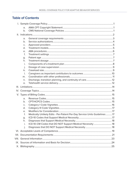# **Table of Contents**

| a.             |                                                                            |  |  |  |
|----------------|----------------------------------------------------------------------------|--|--|--|
| b.             |                                                                            |  |  |  |
|                |                                                                            |  |  |  |
| a.             |                                                                            |  |  |  |
| b.             |                                                                            |  |  |  |
| C <sub>1</sub> |                                                                            |  |  |  |
| d.             |                                                                            |  |  |  |
| e.             |                                                                            |  |  |  |
| f.             |                                                                            |  |  |  |
| g.             |                                                                            |  |  |  |
| h.             |                                                                            |  |  |  |
| i.             |                                                                            |  |  |  |
| j.             |                                                                            |  |  |  |
| k.             |                                                                            |  |  |  |
| $\mathsf{L}$   |                                                                            |  |  |  |
| m.             |                                                                            |  |  |  |
| n.             |                                                                            |  |  |  |
| O.             |                                                                            |  |  |  |
|                |                                                                            |  |  |  |
|                |                                                                            |  |  |  |
|                |                                                                            |  |  |  |
|                |                                                                            |  |  |  |
| a.             |                                                                            |  |  |  |
| b.             |                                                                            |  |  |  |
| C <sub>1</sub> |                                                                            |  |  |  |
| d.             |                                                                            |  |  |  |
| e.             |                                                                            |  |  |  |
| f.             | Medically Unlikely Edits - Per-Patient Per-Day Service Units Guidelines 17 |  |  |  |
| g.             |                                                                            |  |  |  |
| h.             |                                                                            |  |  |  |
| Ť.             | ICD-10-CM Codes that DO NOT Support Medical Necessity  18                  |  |  |  |
| j.             |                                                                            |  |  |  |
|                |                                                                            |  |  |  |
|                |                                                                            |  |  |  |
|                |                                                                            |  |  |  |
|                |                                                                            |  |  |  |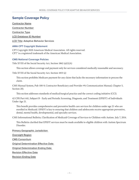# <span id="page-3-0"></span>**Sample Coverage Policy**

Contractor Name Contractor Number Contractor Type LCD Database ID Number LCD Title: Adaptive Behavior Services

# **AMA CPT Copyright Statement**

CPT Copyright 2020 American Medical Association. All rights reserved. CPT® is a registered trademark of the American Medical Association.

# **CMS National Coverage Policies**

Title XVIII of the Social Security Act, Section 1862 (a)(1)(A)

This section allows coverage and payment only for services considered medically reasonable and necessary.

Title XVIII of the Social Security Act, Section 1833 (e)

This section prohibits Medicare payment for any claim that lacks the necessary information to process the claim.

CMS Manual System, Pub 100-9, Contractor Beneficiary and Provider #9; Communication Manual, Chapter 5, Section 20).

This section addresses standards of medical/surgical practice and the correct coding initiative (CCI).

42 CFR Part 441, Subpart B - Early and Periodic Screening, Diagnosis, and Treatment (EPSDT) of Individuals Under Age 21.

This benefit provides comprehensive and preventive health care services for children under age 21 who are enrolled in Medicaid. EPSDT is key to ensuring that children and adolescents receive appropriate preventive, dental, mental health, developmental, and specialty services.

CMS Informational Bulletin, Clarification of Medicaid Coverage of Services to Children with Autism. July 7, 2014.

This Bulletin clarified that EPSDT services must be made available to eligible children with Autism Spectrum Disorder.

Primary Geographic Jurisdiction

Oversight Region

CMS Consortium

Original Determination Effective Date

Original Determination Ending Date

Revision Effective Date

Revision Ending Date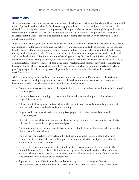# <span id="page-4-0"></span>**Indications**

Behavior analysis is a natural science discipline whose subject matter is behavior interacting with environmental events. Applied behavior analysis (ABA) involves applying scientific principles and procedures discovered through basic and applied research to improve socially important behaviors to a meaningful degree. Extensive research conducted since the 1960s has documented the efficacy of scores of ABA procedures – singly and in various combinations – for building useful skills and reducing problem behaviors in many clinical and nonclinical populations.

In particular, when designed and overseen by qualified professionals, ABA treatments have proved effective for ameliorating symptoms, developing adaptive behaviors, and reducing maladaptive behaviors so as to enhance healthy, successful functioning and prevent deterioration and regression in patients with disorders that arise during the developmental period. Those include but are not limited to autism spectrum disorder, intellectual and other developmental disabilities, attention-deficit/hyperactivity disorder, brain injuries and diseases, movement disorders, feeding disorders, and behavior disorders. Examples of adaptive behaviors include social, communication, cognitive, leisure, self-care, daily living, vocational, and personal safety skills. Maladaptive behaviors that have been treated effectively with ABA procedures include self-injury, property destruction, pica (ingesting inedible items), aggression, elopement (wandering), obsessive behaviors, hyperactivity, and fearful behaviors.

ABA treatments may be focused (addressing a small number of adaptive and/or maladaptive behaviors) or comprehensive (addressing a large number of adaptive behaviors in multiple domains as well as maladaptive behaviors). In either case, the services have the following core elements:

- Comprehensive assessment that describes specific levels of behavior at baseline and informs selection of treatment goals
- An emphasis on understanding the current and future value (or social importance) of behavior(s) targeted for treatment
- A focus on establishing small units of behavior that are built systematically toward larger changes to improve health, safety, and independent functioning
- Ongoing collection, quantification, and analysis of graphed direct observational data on all treatment targets
- Efforts to design, establish, and manage social and learning environment(s) to minimize maladaptive behavior(s) and maximize progress toward all goals
- An approach to the treatment of maladaptive behavior that links treatment procedures to the function of (the reason for) the behavior
- Development of a carefully constructed, individualized and detailed treatment plan that utilizes reinforcement and other behavior-analytic procedures and excludes the use of procedures that lack scientific evidence of effectiveness
- Use of written treatment protocols that are implemented repeatedly, frequently, and consistently in multiple settings. Protocols may be implemented by the professional behavior analyst and/or by assistant behavior analysts, behavior technicians, interns and other trainees, and/or family members who are trained and overseen by the professional.
- Support and training of family members and other caregivers to promote generalization and maintenance of behavioral improvements, to the extent that is practical given family circumstances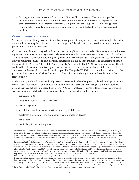<span id="page-5-0"></span>• Ongoing careful case supervision<sup>1</sup> and clinical direction<sup>2</sup> by a professional behavior analyst that includes but is not limited to coordinating care with other providers; directing the implementation of the treatment plan by behavior technicians, caregivers, and other supervisees; reviewing patient progress data frequently; and modifying treatment protocols and the treatment plan as indicated by the data

## **General coverage requirements**

Services must be medically necessary to ameliorate symptoms of a diagnosed disorder, build adaptive behaviors, and/or reduce maladaptive behaviors to enhance the patient's health, safety, and overall functioning and/or to prevent deterioration or regression.

CMS defines medical necessity as healthcare services or supplies that are needed to diagnose or treat an illness or injury, condition, disease, or its symptoms. The services or supplies must also meet accepted medical standards. Medicaid's Early and Periodic Screening, Diagnostic, and Treatment (EPSDT) program provides a comprehensive array of prevention, diagnostic, and treatment services for eligible infants, children, and adolescents under age 21, as specified in Section 1905(r) of the Social Security Act (the Act). The EPSDT benefit is more robust than the Medicaid benefit for adults and is designed to assure early detection and care so that a child's health problems are averted or diagnosed and treated as early as possible. The goal of EPSDT is to assure that individual children get the health care they need when they need it – "the right care to the right child at the right time in the right setting."3

Under EPSDT, Medicaid covers medically necessary services for identified physical, dental, developmental, and mental health conditions. That includes all medically necessary services in the categories of mandatory and optional services defined in Medicaid law section 1905(a), regardless of whether a state chooses to cover such services for adults and elderly. Some examples of covered services for children include:

- preventive visits
- mental and behavioral health services
- case management
- speech-language-hearing, occupational, and physical therapy
- eyeglasses, hearing aids, and augmentative communication devices
- dental care
- medical equipment and supplies

<sup>1</sup> **"Supervision"** of a technician or other employee by a qualified health care provider (QHP) generally refers to processes through which the QHP ensures that the supervisee (a) practices in a competent, professional, and ethical manner in accordance with the standards of the profession; (b) engages with and follows the employer's policies and procedures; (c) continues to develop their knowledge and skills; and (d) receives the personal support needed to cope with the stressors and demands of their position. "Supervision" may also involve activities to enable the supervisor and supervisee to comply with specific requirements for obtaining or maintaining a paraprofessional or professional credential, such as a certification or license, or to fulfill ethical responsibilities. **"Case supervision"** as the term is used in behavior analysis refers to the work conducted by the behavior analyst to develop, deliver, and oversee implementation of a patient's treatment plan. It encompasses both direct contact with the patient or caregivers and indirect services. Supervision activities that do not involve delivery of services directly to patients are generally not reportable or billable to health plans using CPT codes (except code 97151), though some payers may allow them to be billed using HCPCS or other codes. Those that do involve direct delivery of services to maximize benefits to individual patients may be reportable and billable to a health plan and fulfill some supervision requirements for certification or licensure purposes, but only the former should be reported to the health plan.

<sup>2</sup> **"Clinical direction" or "direction"** refers to the QHP directly monitoring the delivery of treatment to a patient by a behavior technician. The focus is on ensuring that treatment protocols are implemented correctly in order to maximize benefit to that patient. Direction of a technician includes, but is not limited to, the QHP frequently observing the technician implementing the patient's protocols with the patient, providing instructions and confirming or corrective feedback as needed, and/or demonstrating correct implementation of a new or modified treatment protocol with the patient while the technician observes, followed by the technician implementing the protocol with the patient while the QHP observes and provides feedback.

<sup>3</sup> <https://www.medicaid.gov/medicaid/benefits/early-and-periodic-screening-diagnostic-and-treatment/index.html>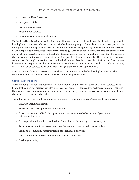- <span id="page-6-0"></span>• school-based health services
- therapeutic child care
- personal care services
- rehabilitation services
- nutritional supplements/medical foods

For Medicaid beneficiaries, determinations of medical necessity are made by the state Medicaid agency or by the health plan that has been delegated that authority by the state agency, and must be made on a case-by-case basis, taking into account the particular needs of the individual patient and guided by information from the patient's healthcare providers. Hard, fixed, or arbitrary limits (e.g., based on dollar amounts, standard deviations from the norm, lists of diseases) are not permitted. State Medicaid agencies may set limits for an individual. For example, the state cannot limit physical therapy visits to 12 per year for all children under EPSDT as an arbitrary cap on such services, but might determine that an individual child needs only 12 monthly visits in a year. Services may be (a) necessary to prevent further advancement of a condition (maintenance or control); (b) ameliorative; or (c) corrective, as when services help a child reach the age-appropriate developmental level.

Determinations of medical necessity for beneficiaries of commercial and other health plans must also be individualized to the patient based on information like that just described.

#### **Service authorizations**

Authorization periods should not be for less than 6 months and may involve some or all of the services listed below. If third-party clinical review (also known as peer review) is required by a healthcare funder or manager, the reviewer should be a credentialed professional behavior analyst who has experience in treating patients like the one that is the focus of the review.

The following services should be authorized for optimal treatment outcomes. Others may be appropriate.

- Behavior-analytic assessment
- Treatment plan development and modification
- Direct treatment to individuals or groups with implementation by behavior analysts and/or behavior technicians
- Case supervision (both direct and indirect) and clinical direction by behavior analysts
- Travel to ensure equitable access to services (for example, in rural and underserved areas)
- Parent and community caregiver training to individuals or groups
- Consultation to ensure continuity and/or coordination of care
- Discharge planning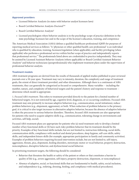## <span id="page-7-0"></span>**Approved providers**

- Licensed Behavior Analysts (in states with behavior analyst licensure laws)
- Board Certified Behavior Analysts-Doctoral<sup>TM</sup>
- Board Certified Behavior Analysts®
- Licensed psychologists where behavior analysis is in the psychology scope of practice definition in the state psychology licensure law and in the scope of the licensee's education, training, and competence

The American Medical Association (AMA) defines a qualified healthcare professional (QHP) for purposes of reporting medical services as follows: "A 'physician or other qualified health care professional' is an individual who is qualified by education, training, licensure/regulation (when applicable), and facility privileging (when applicable) who performs a professional service within his/her scope of practice and independently reports that professional service." The professionals listed above are credentialed to practice independently. They may be assisted by Licensed Assistant Behavior Analysts (where applicable) or Board Certified Assistant Behavior Analysts® and behavior technicians (paraprofessionals) who implement treatment plans under the supervision of professional behavior analysts.

## **Treatment models**

ABA treatment programs are derived from the results of thousands of applied studies published in peer-reviewed journals over a 50-year span. Treatment may vary in intensity, duration, the complexity and range of treatment goals, the extent of direct treatment provided, and other dimensions. Although there is a continuum of ABA treatments, they can generally be categorized as focused or comprehensive. Many variables -- including the number, nature, and complexity of behavioral targets and the patient's history and response to treatment - determine which model is appropriate.

1. *Focused ABA treatment*. This refers to treatment provided directly to the patient for a limited number of behavioral targets. It is not restricted by age, cognitive level, diagnosis, or co-occurring conditions. Focused ABA treatment may aim primarily to increase adaptive behaviors (e.g., communication, social initiations), reduce problem behaviors (e.g., elopement, aggression), or both. When reduction of problem behavior is the primary goal, it is critical to also target increases in alternative adaptive behavior, because the absence of adaptive behavior is often the precursor to serious behavior disorders. Therefore, focused ABA treatments are also appropriate for patients who need to acquire adaptive skills (e.g., communication, tolerating change in environments and activities, self-help, social).

Focused ABA treatment plans are appropriate for patients who (a) need treatment only to develop a limited number of key functional skills or (b) have such risky problem behavior that its treatment should be the priority. Examples of key functional skills include, but are not limited to, instruction-following, social skills, communication skills, compliance with medical and dental procedures, sleep hygiene, self-care skills, safety skills, and independent leisure skills (for example, appropriate participation in family and community activities). Examples of problem behaviors requiring focused intervention include, but are not limited to, self-injury, aggression, threats, pica, elopement, feeding disorders, stereotypic motor or vocal behavior, property destruction, noncompliance, disruptive behavior, and dysfunctional social behavior.

In prioritizing treatment targets, the following should be considered:

- Behavior that threatens the health or safety of the patient or others or that constitutes a barrier to quality of life (e.g., severe aggression, self-injury, property destruction, elopement, or noncompliance)
- Absence of adaptive, social, or functional skills that are fundamental to health, safety, social inclusion, and independence (e.g., toileting, dressing, feeding, and compliance with medical procedures).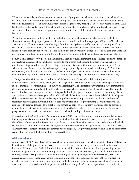<span id="page-8-0"></span>When the primary focus of treatment is increasing socially appropriate behavior, services may be delivered in either an individual or small-group format. In small-group treatment for patients with developmental disorders, typically developing peers or individuals with similar diagnoses may participate in sessions. Members of the ABA treatment team typically guide patients through the rehearsal and practice of behavioral targets with each other. As is the case for all treatments, programming for generalization of skills outside of formal treatment sessions is critical.

When the primary focus of treatment is the reduction of problem behavior, the behavior analyst identifies situations that are likely to precipitate problem behavior in order to identify its purpose ("function" in behavior analytic terms). That may require conducting a functional analysis – a specific type of assessment procedure that involves systematically testing the effects of environmental events on the behavior of interest. When the function of the problem behavior has been identified, the behavior analyst designs a treatment plan that alters the environment to reduce the motivation for problem behavior and/or establish an alternative adaptive behavior.

Some patients display severe problem behaviors that require focused treatment in specialized intensive outpatient, day treatment, residential, or inpatient programs. In some cases the behavior disorders are given separate and distinct diagnoses (for example, stereotypic movement disorder with severe self-injurious behavior). The ABA services delivered in specialized settings typically require high staff-to-patient ratios (e.g., 2 - 3 staff for each patient) and close on-site direction by the behavior analyst. They may also require specialized treatment environments (e.g., rooms designed for observation and to keep the patient and the staff as safe as possible).

2. *Comprehensive ABA treatment*. In this model, behaviors in multiple affected domains (cognitive, communicative, social, self-care, leisure, etc.) are targeted for treatment, often along with maladaptive behaviors such as tantrums, elopement, pica, self-injury, and stereotypy. One example is early intensive ABA treatment for children with autism and related disorders where the overarching goal is to close the gap between the patient's current level of functioning and that of their typically developing peers. Comprehensive treatment may also be appropriate for patients who engage in harmful and risky behaviors and/or have substantial deficits in adaptive skills that jeopardize their health and safety. Comprehensive ABA programs often involve 30 - 40 hours of treatment per week (plus direct and indirect case supervision and caregiver training). Treatment may be 1:1 initially with gradual transitions to small-group formats as appropriate. Initially, treatment may be provided primarily in structured sessions, but more naturalistic methods are also used as appropriate. As the patient progresses and meets criteria, treatments may be provided in multiple different settings.

3. *Variations in treatment models.* As noted previously, ABA treatment programs vary along several dimensions, including intensity and duration. Other variations include the extent to which peers or caregivers are involved in the delivery of treatment. Decisions about how those and other dimensions are incorporated within individual treatment plans must reflect many variables, including the research evidence, patient age and functional levels, characteristics of target behaviors, the patient's rate of progress, caregiver circumstances and skills, and resources required to implement the treatment plan across settings.

# **ABA procedures**

A large array of ABA procedures has proved effective for developing adaptive behaviors and reducing maladaptive behaviors. All of the procedures are based on the principles of behavior analysis. They include but are not limited to different types of schedules of reinforcement, differential reinforcement, shaping, chaining, behavioral momentum, prompting and prompt fading, behavioral skills training, extinction, functional communication training, discrete-trial procedures, incidental teaching, self-management, functional assessment, preference assessments, activity schedules, generalization and maintenance procedures, and many others. The discipline of behavior analysis is constantly developing and evaluating applied behavior-change procedures. The behavior analyst selects the procedures to incorporate in each individual patient's treatment plan based on results of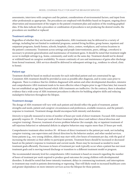<span id="page-9-0"></span>assessments, interviews with caregivers and the patient, considerations of environmental factors, and input from other professionals as appropriate. The procedures are employed with flexibility based on frequent, ongoing direct observation and measurement of the targets in the patient's treatment plan and analysis of the resulting graphed data. If the data indicate that a procedure or combination of procedures is not producing the desired results, the procedures are modified or replaced.

## **Treatment settings**

Regardless of whether they are focused or comprehensive, ABA treatments may be delivered in a variety of settings, including but not limited to residential programs, assisted living facilities, group homes, inpatient and outpatient programs, family homes, schools, hospitals, clinics, centers, workplaces, and various locations in the patient's community. Treatment across settings and people (interventionists, peers, siblings, coworkers) is necessary to promote generalization and maintenance of treatment gains. It should be noted that treatment might occur in multiple settings (e.g., home, community, and work) on the same day. Treatment should not be denied or withheld based on caregiver availability. To ensure continuity of care and maintenance of gains after discharge from formal treatment, ABA services should be delivered in subsequent settings (e.g., residence to school, clinic to home).

## **Patient age**

Treatment should be based on medical necessity for each individual patient and not constrained by age. Consistent ABA treatment should be provided as soon as possible after diagnosis, and in some cases prior to diagnosis. There is evidence that for children diagnosed with autism and other developmental disorders, intensive and comprehensive ABA treatment tends to be more effective when it begins prior to age 8 than later, but research has not established an age limit beyond which ABA treatments are ineffective. On the contrary, there is abundant evidence that a wide array of ABA treatment procedures is effective for building adaptive skills and reducing maladaptive behaviors throughout the lifespan.

#### **Treatment dosage**

The dosage of ABA treatment will vary with each patient and should reflect the goals of treatment, patient strengths and needs, patient and caregiver circumstances and preferences, available resources, and the patient's response to treatment. Treatment dosage should encompass both intensity and duration.

*Intensity* is typically measured in terms of number of hours per week of direct treatment. Focused ABA treatment generally requires 10 - 25 hours per week of direct treatment (plus direct and indirect clinical direction and caregiver training). However, treatment of severe problem behavior (for example, day or inpatient treatment of self-injurious behavior) or substantial deficits in adaptive behaviors may require more than 25 hours per week.

Comprehensive treatment often involves 30 - 40 hours of direct treatment to the patient per week, not including caregiver training, case supervision and clinical direction by the behavior analyst, and other needed services. Some patients (e.g., very young children, elders) may start with a few hours of treatment per day, with the goal of increasing the intensity as their ability to participate permits. Treatment hours should be increased or decreased based on the patient's response to treatment and current needs. Hours may be increased as needed to reach treatment goals efficiently. Decreases in hours of treatment per week typically occur when a patient has met most treatment goals and is moving toward discharge or transition to a different treatment model or program.

The recommended intensity level for comprehensive ABA treatment is based on research regarding the number of hours of treatment per week required to produce good outcomes for young children with developmental disorders. It should be noted that lower-intensity treatment, delays in commencing treatment, and interruptions in treatment may result in patients deteriorating or regressing. That will likely result in increased healthcare costs and greater dependence on more intensive services across the lifespan for those patients.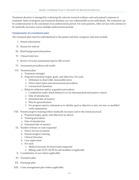<span id="page-10-0"></span>Treatment *duration* is managed by evaluating the relevant research evidence and each patient's response to treatment. Rates of progress and treatment duration can vary substantially across individuals. The evaluation can be conducted prior to the conclusion of an authorization period. For some patients, ABA services will continue to be medically necessary across multiple authorization periods.

## **Components of a treatment plan**

The treatment plan must be individualized to the patient and their caregivers and must include:

- I. Patient information
- II. Reason for referral
- III. Brief background information
- IV. Clinical interview
- V. Review of recent assessments/reports (file review)
- VI. Assessment procedures and results
- VII. Treatment plan
	- a. Treatment setting(s)
	- b. Proposed treatment targets, goals, and objectives. For each:
		- 1. Definition in observable, measurable terms
		- 2. Direct observation and measurement procedures
		- 3. Current level (baseline)
	- c. Behavior reduction and/or acquisition procedures
		- 1. Condition(s) under which behavior is to be demonstrated and mastery criteria
		- 2. Date of introduction
		- 3. Estimated date of mastery
		- 4. Plan for generalization
		- 5. For progress reports, statement as to whether goal or objective is met, not met, or modified (with explanation)
- VIII. Parent/caregiver training (where medically necessary and to the extent practical)
	- a. Proposed targets, goals, and objectives (as above)
	- b. Training procedures
	- c. Date of introduction
	- d. Estimated date of mastery
	- IX. Number of hours or units requested
		- a. Direct services to patient
		- b. Parent/caregiver training
		- c. Clinical direction
		- d. Case supervision
		- e. For each:
			- 1. Medical necessity for hours/units requested
			- 2. Billing codes (CPT, HCPCS) and modifiers if applicable
	- X. Coordination of care (where applicable)
	- XI. Transition plan
- XII. Discharge plan
- XIII. Crisis management plan (where applicable)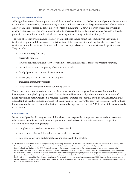## <span id="page-11-0"></span>**Dosage of case supervision**

Although the amount of case supervision and direction of technicians<sup>4</sup> by the behavior analyst must be responsive to individual patient needs, 2 hours for every 10 hours of direct treatment is the general standard of care. When direct treatment occurs for 10 hours per week or less, a minimum of 2 hours per week of case supervision is generally required. Case supervision may need to be increased temporarily to meet a patient's needs at specific points in treatment (for example, initial assessment, significant change in treatment targets).

The ratio of case supervision hours to direct treatment hours should reflect the complexity of the patient's treatment program and the responsive, individualized, data-based decision-making that characterizes ABA treatment. A number of factors increase or decrease case supervision needs on a shorter- or longer-term basis. They include:

- treatment dosage/intensity
- barriers to progress
- issues of patient health and safety (for example, certain skill deficits, dangerous problem behavior)
- the sophistication or complexity of treatment protocols
- family dynamics or community environment
- lack of progress or increased rate of progress
- changes in treatment protocols
- transitions with implications for continuity of care

The proportion of case supervision hours to direct treatment hours is a general parameter that should not be interpreted or applied rigidly. Instead, if the professional behavior analyst determines that X number of hours per week of case supervision is required, that is the number of hours that should be authorized, with the understanding that the number may need to be adjusted up or down over the course of treatment. Further, those hours must not be counted toward, substituted for, or offset against the hours of ABA treatment delivered directly to the patient.

#### **Caseload size**

Behavior analysts should carry a caseload that allows them to provide appropriate case supervision to ensure effective treatment delivery and consumer protection. Caseload size for the behavior analyst is typically determined by the following factors:

- complexity and needs of the patients in the caseload
- total treatment hours delivered to the patients in the caseload
- total case supervision and clinical direction required by the caseload

<sup>4</sup> **"Direction"** in this context refers to the QHP directly monitoring the delivery of treatment to a patient by a behavior technician (CPT 97155). The focus is on ensuring that treatment protocols are implemented correctly in order to maximize benefit to that patient. Direction of a technician includes, but is not limited to, the QHP frequently observing the technician implementing the patient's protocols with the patient, providing instructions and confirming or corrective feedback as needed, and/or demonstrating correct implementation of a new or modified treatment protocol with the patient while the technician observes, followed by the technician implementing the protocol with the patient while the QHP observes and provides feedback. That service should be reported and billed using code 97155 (adaptive behavior treatment with protocol modification administered by physician or other qualified health care professional). The technician's time is separately reportable under 97153 (adaptive behavior treatment by protocol administered by technician under the direction of a physician or other qualified health care professional). Time reported and billed must be face-to-face time with the patient.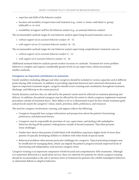- <span id="page-12-0"></span>• expertise and skills of the behavior analyst
- location and modality of supervision and treatment (e.g., center vs. home, individual vs. group, telehealth vs. in vivo)
- availability of support staff for the behavior analyst (e.g., an assistant behavior analyst)

The recommended caseload ranges for one behavior analyst supervising focused treatment cases are

- *without support of an assistant behavior analyst*: 10 15.
- *with support of one (1) assistant behavior analyst*: 16 24.

The recommended caseload ranges for one behavior analyst supervising comprehensive treatment cases are

- *without support of an assistant behavior analyst:* 6 12.
- *with support of n) assistant behavior analyst:* 12 16.

Additional assistant behavior analysts permit modest increases in caseloads. Treatment for severe problem behavior is complex and requires considerably greater levels of case supervision, which necessitates smaller caseloads.

#### **Caregivers as important contributors to outcomes**

Family members (including siblings) and other caregivers should be included in various capacities and at different points during ABA treatment. In addition to providing important historical and contextual information and input on important treatment targets, caregivers should receive training and consultation throughout treatment, discharge, and followup to the extent practical.

Family dynamics and how they are affected by the patient's needs must be reflected in treatment planning and delivery. In addition, the patient's progress may be affected by the extent to which caregivers implement treatment procedures outside of treatment hours. Their ability to do so is determined in part by how closely treatment goals and protocols match the caregivers' values, needs, priorities, skills, preferences, and resources.

The need for caregiver involvement, training, and support reflects the following:

- Caregivers frequently have unique information and perspectives about the patient's functioning, preferences, and behavioral history.
- Caregivers may be responsible for provision of care, supervision, and dealing with maladaptive behaviors during all the patient's waking hours outside of formal treatment. That often presents many challenges.
- Studies have shown that parents of individuals with disabilities experience higher levels of stress than parents of typically developing children or children with other kinds of special needs.
- Behavioral problems often present particular challenges for caregivers. Typical parenting strategies may be insufficient for managing them, which can impede the patient's progress towards improved levels of functioning and independence and increase caregiver stress.

Caregiver training is an important component of both focused and comprehensive ABA treatments. Although it is sometimes delivered as a stand-alone service, there are relatively few patients for whom caregiver training should be recommended as the sole or primary form of treatment for patients who exhibit maladaptive behaviors or substantial deficits in adaptive behaviors.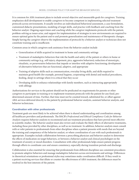<span id="page-13-0"></span>It is common for ABA treatment plans to include several objective and measurable goals for caregivers. Training emphasizes skill development to enable caregivers to become competent in implementing selected treatment protocols across environments. It usually involves an individualized behavioral assessment, a case formulation, customized didactic presentations, modeling of target skills, and practice with feedback and coaching from the behavior analyst. Ongoing supervision and coaching while the caregiver implements protocols with the patient, problem-solving as issues arise, and support for implementation of strategies in new environments are required to ensure optimal gains by the patient and to and promote generalization and maintenance of therapeutic changes. Simply having the caregiver observe the implementation of protocols by a behavior analyst or technician does not constitute training and is insufficient.

Common areas in which caregivers seek assistance from the behavior analyst include

- Generalization of skills acquired in treatment to home and community settings
- Treatment of maladaptive behaviors that risk the health and safety of the patient or others in home or community settings (e.g., self-injury, elopement, pica, aggressive behaviors); reduction of stereotypic, ritualistic, or perseverative behaviors that impede or interfere with adaptive functioning; development of alternative behaviors that are functional, adaptive, and appropriate
- Training of adaptive skills such as communication, everyday living skills, and skills required to maintain good health (for example, personal hygiene, cooperating with dental and medical procedures, feeding, sleep) in settings where it is critical that they occur
- Developing skills to enhance relationships with family members, such as interacting appropriately with siblings

Authorizations for services to the patient should not be predicated on requirements for parents or other caregivers to participate in training or to implement treatment protocols with the patient for any fixed, predetermined amount of time. Further, that time must not be counted toward, substituted for, or offset against ABA services delivered directly to the patient by professional behavior analysts, assistant behavior analysts, and behavior technicians.

# **Coordination with other professionals**

Treatment goals are most likely to be achieved when there is shared understanding and coordination among all healthcare providers and professionals. The BACB's *Professional and Ethical Compliance Code for Behavior Analysts* requires behavior analysts to recommend and use treatment procedures that have proved most effective in scientific studies. The behavior analyst must also review and evaluate the likely effects of alternative treatments, including those provided by other disciplines, as well as no treatment. In addition, behavior analysts must consult with or refer patients to professionals from other disciplines when a patient presents with needs that are beyond the training and competence of the behavior analyst, or where coordination of care with such professionals is appropriate. Examples include collaboration between a prescribing physician and behavior analyst to determine the effects of medication on target behaviors, or between a behavior analyst and clinical psychologist on the treatment of anxiety or mood disorders. Consultation with other professionals helps ensure patient progress through efforts to coordinate care and ensure consistency, especially during transition periods and discharge.

Collaboration is also essential for ensuring that professionals from different disciplines use consistent procedures to promote adaptive behaviors and manage maladaptive behaviors across environments and settings. Differences in theoretical orientations or professional styles may sometimes make coordination difficult. If they result in a patient receiving services that dilute or counter the effectiveness of ABA treatment, the differences must be resolved in the best interests of the patient.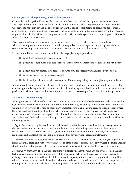# <span id="page-14-0"></span>**Discharge, transition planning, and continuity of care**

Criteria for discharge should be specified when services begin and refined throughout the treatment process. Discharge and transition planning should involve family members, other caregivers, and other professionals who serve the patient in development of a written plan that specifies monitoring and followup procedures as appropriate for the patient and their caregivers. The plan should also include clear descriptions of the roles and responsibilities of all providers and caregivers, as well as criteria and target dates for treatment goals that must be achieved prior to the next phase.

Discharge should generally involve a gradual step-down in services. Discharge from a comprehensive ABA treatment program often requires 6 months or longer. For example, a patient might step down from a comprehensive program to a focused treatment or treatments to address a few remaining goals.

Services should be reviewed and evaluated and discharge planning begun when

- The patient has achieved all treatment goals; OR
- The patient no longer meets diagnostic criteria (as measured by appropriate standardized instruments); OR
- The patient does not demonstrate progress towards goals for successive authorization periods; OR
- The family wishes to discontinue services; OR
- The family and provider are unable to reconcile differences regarding treatment planning and delivery.

In reviews addressing the appropriateness or efficacy of services, including reviews pursuant to any internal or external appeal relating to health insurance benefits, the reviewing body should include at least one credentialed professional behavior analyst with experience in designing and overseeing ABA services for similar patients.

#### **Telehealth service delivery**

Although in-person delivery of ABA services is the norm, services may also be delivered remotely via telehealth (synchronous or asynchronous audio- and/or video- conferencing, telephone), either entirely or in combination with in-person services. That may be particularly important for patients in rural areas or other locations where there are insufficient numbers of qualified behavior analysts, and when circumstances restrict the delivery of in-person services, such as during outbreaks of infectious diseases or natural disasters. To determine the appropriateness of telehealth services for a particular patient, the behavior analyst should carefully consider the following factors.

1. *Applicable laws and regulations.* In states with behavior analyst licensure laws, it will be necessary to check the laws and accompanying rules or regulations for the state in which the patient resides to determine if the telepractice of ABA is allowed and if so, by whom and under what conditions. Similarly, state insurance regulations and Medicaid policies should be examined for any provisions regarding telehealth.

2. *Research literature.* Although telehealth delivery of ABA services is relatively new, there is a growing body of research on that topic, and such services can be considered evidence-informed at the very least. Behavior analysts should familiarize themselves with the relevant research when considering telehealth services for a patient.

3. *Provider competencies.* The behavior analyst must evaluate whether they and any supervisees (e.g., behavior technicians, students or other trainees) who will be involved in delivering the services for which telehealth delivery is being contemplated have the skills required to implement those services safely and effectively. If not, ethical standards require that the behavior analyst obtain the necessary training and see that their supervisees can implement the patient's telehealth treatment protocols correctly before initiating telehealth services.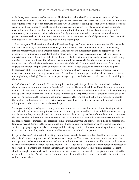4. *Technology requirements and environment.* The behavior analyst should assess whether patients and the individuals who will assist them in participating in telehealth services have access to a secure internet connection and required technology (both hardware and software) in the remote setting. Space for assessment and treatment sessions must be arranged so that the patient and caregivers are within view of any cameras used for remote observation and clinical direction by the behavior analyst or technician. Additional equipment (e.g., tablet mounts) may be required to optimize their view. Ideally, the environmental arrangement should allow the patient to move freely within and across areas within the treatment setting. Careful placement of the camera will facilitate remote observation of sessions with minimal interruption.

5. *Treatment plan.* The behavior analyst should evaluate the patient's treatment plan to determine if it is suitable for telehealth delivery. Consideration must be given to the relative risks and benefits involved in delivering services remotely vs. in person; whether modifications are needed in treatment goals and objectives as well as procedures for implementing each treatment protocol (e.g., types of reinforcers, reinforcer delivery, prompting, materials); and who will implement the telehealth protocols (behavior technicians, other direct care staff, family members or other caregivers). The behavior analyst should also assess whether the remote treatment setting is conducive to safe and effective delivery of services via telehealth. That is especially important if the patient engages in behavior that puts them or others at risk of injury. In such cases, consideration should be given to caregivers' ability to modify the environment by removing objects that may pose risk of injury, or using protective equipment or clothing to ensure safety (e.g., pillows to block aggression, long sleeves to prevent injury due to pinching or biting). That may require providing caregivers with the necessary items as well as training in their use.

6. *Patient characteristics and skills.* The skills required for the patient to participate in telehealth depends on their treatment goals and the nature of the telehealth services. The requisite skills will be different for a patient to whom a behavior analyst or technician will deliver services directly via synchronous, real-time videoconferencing and a patient to whom services will be delivered in person by a caregiver with remote direction from a behavior analyst. For the former, the behavior analyst must assess whether the patient has the skills required to operate the hardware and software and engage with treatment procedures presented on screens and via speakers and microphones, either in real time or via recordings.

7. *Caregiver ability to participate.* If family members or other caregivers will be involved in delivering services via telehealth, the behavior analyst must evaluate the time they can be available, other individuals for whom they may be responsible, and any physical restrictions. A materials inventory may be useful for determining resources that are available in the remote treatment setting so as to minimize the potential for service interruption due to inadequate access to materials. The caregiver's skills in using hardware and software should also be assessed and trained as needed. Similarly, the behavior analyst will need to train the caregiver on skills required to conduct sessions (e.g., preparing materials, technology, and the setting prior to each session; recording notes and charging devices after each session) and to implement all treatment protocols with the patient.

8. *Informed consent*. Prior to implementing telehealth services, the behavior analyst should obtain consent from the patient's parents or guardians and the patient as appropriate. The consent document should provide a clear description of the benefits and risks involved and any other information required to enable patients and caregivers to make fully informed decisions about telehealth services, such as a description of the technology and procedures that will be used, what to expect from the telehealth interactions, and what is known from research. Consent should be sought for each telehealth modality and service provided. For example, a caregiver may consent to the use of video recordings (also known as "store-and-forward" modalities) for clinical consultation, but not to train technicians or others.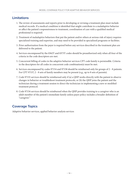# <span id="page-16-0"></span>**Limitations**

- 1. The review of assessments and reports prior to developing or revising a treatment plan must include medical records. If a medical condition is identified that might contribute to a maladaptive behavior or affect the patient's responsiveness to treatment, coordination of care with a qualified medical professional is required.
- 2. Treatment of maladaptive behaviors that put the patient and/or others at serious risk of injury requires specialized training and expertise, and may need to be provided in specialized programs or facilities.
- 3. Prior authorization from the payer is required before any services described in the treatment plan are delivered to the patient.
- 4. Services encompassed by the 0362T and 0373T codes should be preauthorized only when all four of the criteria in the code descriptors are met.
- 5. Concurrent billing of codes in the adaptive behavior services CPT code family is permissible. Criteria in the descriptors for all codes in concurrent code combination(s) must be met.
- 6. Services encompassed by codes 97154 and 97158 should be reimbursed only for groups of 2 8 patients. For CPT 97157, 2 - 8 sets of family members may be present (e.g., up to 8 sets of parents).
- 7. Code 97155 services should be reimbursed only if (a) a QHP works directly with the patient to observe changes in behavior or troubleshoot treatment protocols, or (b) the QHP joins the patient and the technician during a treatment session to direct the technician in implementing a new or modified treatment protocol.
- 8. Code 97156 services should be reimbursed when the QHP provides training to a caregiver who is an adult member of the patient's immediate family unless payer policy includes a broader definition of "caregiver."

# **Coverage Topics**

Adaptive behavior services, applied behavior analysis services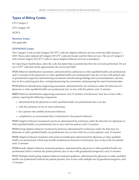# <span id="page-17-0"></span>**Types of Billing Codes**

CPT Category I CPT Category III **HCPCS** 

# **Revenue Codes**

Not applicable

# **CPT/HCPCS Codes**

New Category I and revised Category III CPT® codes for adaptive behavior services went into effect January 1, 2019. Those codes replaced all Category III CPT® codes previously used for those services. The use of Category I and revised Category III CPT® Codes to report adaptive behavior services is mandatory.

For reporting to health plans, select the code descriptor that accurately describes the service(s) performed. Do not use a CPT® code that merely approximates the service provided.

**97151** Behavior identification assessment, administered by a physician or other qualified health care professional, each 15 minutes of the physician's or other qualified health care professional's time face-to-face with patient and/ or guardian(s)/caregiver(s) administering assessments and discussing findings and recommendations, and nonface-to-face analyzing past data, scoring/interpreting the assessment, and preparing the report/treatment plan

**97152** Behavior identification supporting assessment, administered by one technician under the direction of a physician or other qualified health care professional, face-to-face with the patient, each 15 minutes

**0362T** Behavior identification supporting assessment, each 15 minutes of technicians' time face-to face with a patient, requiring the following components:

- administered by the physician or other qualified health care professional who is on site,
- with the assistance of two or more technicians,
- for a patient who exhibits destructive behavior,
- completed in an environment that is customized to the patient's behavior.

**97153** Adaptive behavior treatment by protocol, administered by technician under the direction of a physician or other qualified health care professional, face-to-face with one patient, each 15 minutes

**97154** Group adaptive behavior treatment by protocol, administered by technician under the direction of a physician or other qualified health care professional, face-to-face with two or more patients, each 15 minutes

**97155** Adaptive behavior treatment with protocol modification administered by physician or other qualified health care professional, which may include simultaneous direction of technician, face-to-face with one patient, each 15 minutes

**97156** Family adaptive behavior treatment guidance, administered by physician or other qualified health care professional (with or without the patient present), face-to-face with guardian(s)/caregiver(s), each 15 minutes

**97157** Multiple-family group adaptive behavior treatment guidance, administered by physician or other qualified health care professional (without the patient present), face-to-face with multiple sets of guardians/caregivers, each 15 minutes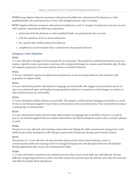<span id="page-18-0"></span>**97158** Group adaptive behavior treatment with protocol modification, administered by physician or other qualified health care professional face-to-face with multiple patients, each 15 minutes

**0373T** Adaptive behavior treatment with protocol modification, each 15 minutes of technicians' time face-to-face with a patient, requiring the following components:

- administered by the physician or other qualified health care professional who is on site,
- with the assistance of two or more technicians,
- for a patient who exhibits destructive behavior,
- completed in an environment that is customized to the patient's behavior.

# **Category I Code Vignettes**

#### **97151**

A 3-year-old male is brought in by his parents for an assessment. The patient has nonfunctional speech, poor eye contact, repetitive motor movements, tantrums with unexpected changes in routines, and ritualistic play. He does not respond to gestures or his name and has almost no imitative behavior.

#### **97152**

A 10-year-old female requires an additional assessment for severe stereotypic behavior that interferes with acquisition of adaptive skills.

#### **97153**

A 4-year-old female presents with deficits in language and social skills. She engages in perseverative speech on one or two preferred topics and displays strong emotional outbursts in response to small changes in routines or when preferred items are unavailable.

#### **97154**

A 7-year-old female exhibits deficits in social skills. The patient is verbal and has emerging social skills as a result of one-to-one therapy designed to teach basic communication and social interactions. Peer social skills training in a small group is recommended.

#### **97155**

A 5-year-old male previously showed steady improvements in language and social skills at home as a result of one-to-one intensive applied behavior analysis intervention, but skill development seems to have reached a plateau recently.

#### **97156**

Parents of a 6-year-old male seek training on procedures for helping the child communicate using picture cards (skills he previously developed in ABA therapy sessions with technicians) during typical family routines.

#### **97157**

The parents of a 3-year-old male who has pervasive hyperactivity and no functional play, social, or communication skills seek training on how to manage his hyperactive and disruptive behavior and help him develop appropriate play, social, and communication skills.

#### **97158**

A 13-year-old female is reported to be isolated from peers due to poor social skills and odd behavior. She has difficulty recognizing emotions in others and often annoys her peers because she tells the same joke over and over and talks incessantly about superheroes.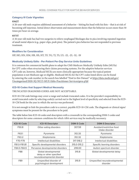# <span id="page-19-0"></span>**Category III Code Vignettes**

## **0362T**

A 26-year-old male requires additional assessment of a behavior – hitting his head with his fists – that is at risk of becoming self-injurious. Initial direct observation and measurement shows that the behavior occurs more than 50 times per hour on average.

#### **0373T**

A 16-year-old male has had two surgeries to relieve esophageal blockages due to pica involving repeated ingestion of small metal objects (e.g., paper clips, push pins). The patient's pica behavior has not responded to previous treatment.

#### **Modifiers for Consideration**

HP, HO, HN, HM, HR, HS, HT, TF, TG, TJ, TS, U5, -22, -25, -52, -59

# **Medically Unlikely Edits - Per-Patient Per-Day Service Units Guidelines**

It is common for commercial health plans to adopt the CMS Medicare Medically Unlikely Edits (MUEs) for CPT codes when structuring their claims processing systems. For the adaptive behavior services CPT code set, however, *Medicaid* MUEs are more clinically appropriate because the typical patient population is not Medicare age or eligible. Medicaid MUEs for the CPT codes listed above can be found by entering the code number in the search box labelled "Find in this Dataset" at [https://data.medicaid.gov/](https://data.medicaid.gov/Uncategorized/2020-3Q-NCCI-MUE-Edits-Practitioner-Services/qnva-p5jd) [Uncategorized/2020-3Q-NCCI-MUE-Edits-Practitioner-Services/qnva-p5jd](https://data.medicaid.gov/Uncategorized/2020-3Q-NCCI-MUE-Edits-Practitioner-Services/qnva-p5jd)

## **ICD-10 Codes that Support Medical Necessity**

TRUNCATED DIAGNOSIS CODES ARE NOT ACCEPTABLE.

ICD-10-CM code listings may cover a range and include truncated codes. It is the provider's responsibility to avoid truncated codes by selecting code(s) carried out to the highest level of specificity and selected from the ICD-10-CM book for the year in which the service was performed.

It is not enough to link the procedure code to a correct, payable ICD-10-CM code. The diagnosis or clinical signs/ symptoms must be present for the procedure to be paid.

The table below lists ICD-10 codes and descriptors with a crosswalk to the corresponding DSM-5 codes and descriptors for some common conditions for which ABA services may be medically necessary.

| ICD-10 Code  | <b>ICD-10 Descriptor</b>                                                        | <b>DSM-5 Code</b> | <b>DSM-5 Descriptor</b>                      |
|--------------|---------------------------------------------------------------------------------|-------------------|----------------------------------------------|
| F50.8        | Other eating disorders                                                          | 307.59            | Avoidant/restrictive food<br>intake disorder |
| F63.1        | Pyromania                                                                       | 312.33            | Pyromania                                    |
| F63.2        | Kleptomania                                                                     | 312.32            | Kleptomania                                  |
| F70-F79      | Intellectual disabilities                                                       | 317-318.2         | Intellectual disabilities                    |
| F81.0-F81.81 | Specific developmental disorders                                                | 315.0-315.2       | Specific learning disorders                  |
| F84.0-F84.9  | Pervasive developmental disorders                                               | 299.00            | Autism spectrum disorder                     |
| F88          | Global developmental<br>delay or other specified<br>neurodevelopmental disorder | 315.8             | Global developmental delay                   |
| F89          | Unspecified disorder of<br>psychological development                            | 315.9             | Unspecified neurodevelopmental<br>disorder   |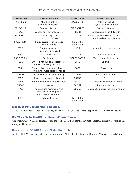<span id="page-20-0"></span>

| ICD-10 Code | <b>ICD-10 Descriptor</b>                                                         | <b>DSM-5 Code</b>      | <b>DSM-5 Descriptor</b>                                                |
|-------------|----------------------------------------------------------------------------------|------------------------|------------------------------------------------------------------------|
| F90-F90.9   | Attention deficit-<br>hyperactivity disorders                                    | 314.00-314.01          | Attention deficit-<br>hyperactivity disorders                          |
| F91.0-F91.2 | Conduct disorders                                                                | 312.81-312.82          | Conduct disorders                                                      |
| F91.3       | Oppositional defiant disorder                                                    | 313.81                 | Oppositional defiant disorder                                          |
| F91.8-F91.9 | Other or unspecified<br>conduct disorders                                        | 312.89                 | Other specified disruptive, impulse-<br>control, and conduct disorders |
| F92.8-F92.9 | Mixed disorders of conduct<br>and emotions                                       | No DSM-5<br>equivalent |                                                                        |
| F93.0       | Separation anxiety<br>disorder of childhood                                      | 309.21                 | Separation anxiety disorder                                            |
| F94.0       | Selective mutism                                                                 | 312.23                 | Selective mutism                                                       |
| F95.0-F95.9 | Tic disorders                                                                    | 307.20-307.23          | Tourette and tic disorders                                             |
| F98.0       | Enuresis not due to a substance or<br>known physiological condition              | 307.6                  | Enuresis                                                               |
| F98.1       | Encopresis not due to a substance<br>or known physiological condition            | 307.7                  | Encopresis                                                             |
| F98.21      | Rumination disorder of infancy                                                   | 307.53                 | Rumination disorder                                                    |
| F98.3       | Pica of infancy and childhood                                                    | 307.52                 | Pica                                                                   |
| F98.4       | Stereotyped movement disorders                                                   | 307.3                  | Stereotypic movement disorder                                          |
| G47.00      | Insomnia                                                                         | 780.52                 | Insomnia disorder                                                      |
| R41.9       | Unspecified symptoms and<br>signs involving cognitive<br>functions and awareness | 799.59                 | Unspecified neurocognitive disorder                                    |
| R63.3       | Feeding difficulties                                                             | No DSM-5<br>equivalent |                                                                        |

# **Diagnoses that Support Medical Necessity**

All ICD-10-CM codes listed in this policy under "ICD-10-CM Codes that Support Medical Necessity" above.

# **ICD-10-CM Codes that DO NOT Support Medical Necessity**

Use of any ICD-10-CM code not listed in the "ICD-10-CM Codes that Support Medical Necessity" section of this policy will be denied.

#### **Diagnoses that DO NOT Support Medical Necessity**

All ICD-10-CM codes not listed in this policy under "ICD-10-CM Codes that Support Medical Necessity" above.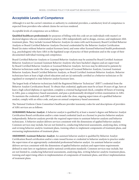# <span id="page-21-0"></span>**Acceptable Levels of Competence**

Although it is not the carrier's intention or authority to credential providers, a satisfactory level of competence is expected from providers who submit claims for services rendered.

Acceptable levels of competence are as follows:

**Qualified healthcare professionals** for purposes of billing with this code set are individuals with master's or doctoral degrees who are credentialed to practice ABA independently and to design, oversee, and implement ABA treatment plans. They include Licensed Behavior Analysts (in states with such licensure); Board Certified Behavior Analysts or Board Certified Behavior Analysts-Doctoral credentialed by the Behavior Analyst Certification Board (in states without behavior analyst licensure laws); and some other licensed behavioral health professionals (e.g., psychologists) who have ABA in the legislated scope of practice of their profession and in the scope of their documented individual training and competence.

Board Certified Behavior Analysts or Licensed Behavior Analysts may be assisted by Board Certified Assistant Behavior Analysts or Licensed Assistant Behavior Analysts who have bachelor's degrees and are supervised by Board Certified Behavior Analysts or Licensed Behavior Analysts. Services may be delivered to patients by behavior technicians under the close, ongoing supervision of Licensed Behavior Analysts, Licensed Assistant Behavior Analysts, Board Certified Behavior Analysts, or Board Certified Assistant Behavior Analysts. Behavior technicians have at least a high school education and are (a) nationally certified as a behavior technician or (b) regulated or exempted in state behavior analyst licensure laws.

The largest body of behavior technicians hold the Registered Behavior Technician™ (RBT®) credential from the Behavior Analyst Certification Board. To obtain that credential, applicants must be at least 18 years of age, have at least a high school diploma or equivalent, complete a criminal background check, complete 40 hours of training in ABA, pass a competency-based assessment, and pass a professionally developed written examination in ABA. To maintain the credential, each RBT must work under the close, ongoing supervision of a qualified behavior analyst, comply with an ethics code, and pass an annual competency-based assessment.

The National Uniform Claim Committee's healthcare provider taxonomy codes for and descriptions of providers of ABA services are as follows:

**103K00000X Behavior Analyst:** A behavior analyst is qualified by at least a master's degree and Behavior Analyst Certification Board certification and/or a state-issued credential (such as a license) to practice behavior analysis independently. Behavior analysts provide the required supervision to assistant behavior analysts and behavior technicians. A behavior analyst delivers services consistent with the dimensions of applied behavior analysis. Common services may include, but are not limited to, conducting behavioral assessments, analyzing data, writing and revising behavior-analytic treatment plans, training others to implement components of treatment plans, and overseeing implementation of treatment plans.

**106E00000X Assistant Behavior Analyst:** An assistant behavior analyst is qualified by Behavior Analyst Certification Board certification and/or a state-issued license or credential in behavior analysis to practice under the supervision of an appropriately credentialed professional behavior analyst. An assistant behavior analyst delivers services consistent with the dimensions of applied behavior analysis and supervision requirements defined in state laws or regulations and/or national certification standards. Common services may include, but are not limited to, conducting behavioral assessments, analyzing data, writing behavior-analytic treatment plans, training and supervising others in implementation of components of treatment plans, and direct implementation of treatment plans.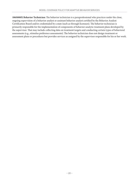**106S000X Behavior Technician:** The behavior technician is a paraprofessional who practices under the close, ongoing supervision of a behavior analyst or assistant behavior analyst certified by the Behavior Analyst Certification Board and/or credentialed by a state (such as through licensure). The behavior technician is primarily responsible for the implementation of components of behavior-analytic treatment plans developed by the supervisor. That may include collecting data on treatment targets and conducting certain types of behavioral assessments (e.g., stimulus preference assessments). The behavior technician does not design treatment or assessment plans or procedures but provides services as assigned by the supervisor responsible for his or her work.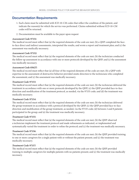# <span id="page-23-0"></span>**Documentation Requirements**

- 1. Each claim must be submitted with ICD-10-CM codes that reflect the condition of the patient, and indicate the reason(s) for which the service was performed. Claims submitted without ICD-10-CM codes will be returned.
- 2. Documentation must be available to the payer upon request

## *Assessment Code 97151:*

The medical record must reflect that (a) the required elements of the code are met; (b) a QHP completed the faceto-face direct and indirect assessments, interpreted the results, and wrote a report and treatment plan; and (c) the assessment was medically necessary.

## *Assessment Code 97152:*

The medical record must reflect that (a) the required elements of the code are met; (b) the technician conducted the follow-up assessment in accordance with one or more protocols developed by the QHP; and (c) the assessment was medically necessary.

## *Assessment Code 0362T:*

The medical record must reflect that (a) all four of the required elements of the code are met; (b) a QHP with expertise in the assessment of destructive behavior provided onsite direction to the technicians who completed the assessment; and (c) the assessment was medically necessary.

## *Treatment Code 97153:*

The medical record must reflect that (a) the required elements of the code are met; (b) the technician delivered the treatment in accordance with one or more protocols developed by the QHP; (c) the QHP provided face-to-face direction and modification of the treatment protocol, as needed, via the 97155 code; and (d) the treatment was medically necessary.

#### *Treatment Code 97154:*

The medical record must reflect that (a) the required elements of the code are met; (b) the technician delivered the group treatment in accordance with a protocol developed by the QHP; (c) the QHP provided face-to-face direction and modification of the group treatment, as needed, via the 97155 code; (d) between 2 and 8 patients participated in the group; and (e) the treatment was medically necessary.

#### *Treatment Code 97155:*

The medical record must reflect that (a) the required elements of the code are met; (b) the QHP observed a technician implement the treatment protocol and made refinements as indicated, or implemented and systematically varied the treatment in order to refine the protocol; and (c) the treatment was medically necessary.

# *Treatment Code 97156:*

The medical record must reflect that (a) the required elements of the code are met; (b) the QHP provided training to one or more caregivers for a single patient with or without the patient present; and (c) the treatment was medically necessary.

# *Treatment Code 97157:*

The medical record must reflect that (a) the required elements of the code are met; (b) the QHP provided training to multiple caregivers for multiple patients with no patients present; and (c) the treatment was medically necessary.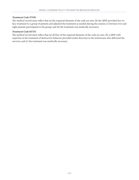## *Treatment Code 97158:*

The medical record must reflect that (a) the required elements of the code are met; (b) the QHP provided face-toface treatment to a group of patients and adjusted the treatment as needed during the session; (c) between two and eight patients participated in the group; and (d) the treatment was medically necessary.

# *Treatment Code 0373T:*

The medical record must reflect that (a) all four of the required elements of the code are met; (b) a QHP with expertise in the treatment of destructive behavior provided onsite direction to the technicians who delivered the services; and (c) the treatment was medically necessary.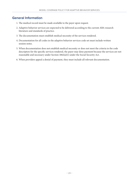# <span id="page-25-0"></span>**General Information**

- 1. The medical record must be made available to the payer upon request.
- 2. Adaptive behavior services are expected to be delivered according to the current ABA research literature and standards of practice.
- 3. The documentation must establish medical necessity of the services rendered.
- 4. Documentation for all codes in the adaptive behavior services code set must include written session notes.
- 5. When documentation does not establish medical necessity or does not meet the criteria in the code descriptors for the specific services rendered, the payer may deny payment because the services are not reasonable and necessary under Section 1862(a)(1) under the Social Security Act.
- 6. When providers appeal a denial of payment, they must include all relevant documentation.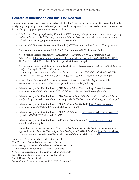# <span id="page-26-0"></span>**Sources of Information and Basis for Decision**

This document was prepared as a collaborative effort of the ABA Coding Coalition, its CPT consultant, and a workgroup comprising representatives of providers and health plans. In addition to the research literature listed in the bibliography, principal source materials include

- ABA Services Workgroup Steering Committee (2019, January). *Supplemental Guidance on Interpreting and Applying the 2019 CPT® Codes for Adaptive Behavior Services.* [https://abacodes.org/wp-content/](https://abacodes.org/wp-content/uploads/2019/06/CPT_SupplementalGuidance190109.pdf) [uploads/2019/06/CPT\\_SupplementalGuidance190109.pdf](https://abacodes.org/wp-content/uploads/2019/06/CPT_SupplementalGuidance190109.pdf)
- American Medical Association (2018, November). *CPT® Assistant, Vol. 28 Issue 11.* Chicago: Author.
- American Medical Association (2019). *AMA CPT® Professional 2020*. Chicago: Author.
- Association of Professional Behavior Analysts (2017). *Identifying Applied Behavior Analysis Interventions.* [https://cdn.ymaws.com/www.apbahome.net/resource/collection/1FDDBDD2-5CAF-](https://cdn.ymaws.com/www.apbahome.net/resource/collection/1FDDBDD2-5CAF-4B2A-AB3F-DAE5E72111BF/APBAwhitepaperABAinterventions.pdf)[4B2A-AB3F-DAE5E72111BF/APBAwhitepaperABAinterventions.pdf](https://cdn.ymaws.com/www.apbahome.net/resource/collection/1FDDBDD2-5CAF-4B2A-AB3F-DAE5E72111BF/APBAwhitepaperABAinterventions.pdf)
- Association of Professional Behavior Analysts (2020, April). *Guidelines for Practicing Applied Behavior Analysis During the COVID-19 Pandemic.*  [https://cdn.ymaws.com/www.apbahome.net/resource/collection/1FDDBDD2-5CAF-4B2A-AB3F-](https://cdn.ymaws.com/www.apbahome.net/resource/collection/1FDDBDD2-5CAF-4B2A-AB3F-DAE5E72111BF/APBA_Guidelines_-_Practicing_During_COVID-19_Pandemic_040920.pdf)[DAE5E72111BF/APBA\\_Guidelines\\_-\\_Practicing\\_During\\_COVID-19\\_Pandemic\\_040920.pdf](https://cdn.ymaws.com/www.apbahome.net/resource/collection/1FDDBDD2-5CAF-4B2A-AB3F-DAE5E72111BF/APBA_Guidelines_-_Practicing_During_COVID-19_Pandemic_040920.pdf)
- Association of Professional Behavior Analysts (n.d.) *Licensure and Other Regulation of ABA Practitioners.* [https://www.apbahome.net/general/recommended\\_links.asp](https://www.apbahome.net/general/recommended_links.asp)
- Behavior Analyst Certification Board (2012). *Fourth Edition Task List.* [https://www.bacb.com/](https://www.bacb.com/wp-content/uploads/2017/09/160101-BCBA-BCaBA-task-list-fourth-edition-english.pdf) [wp-content/uploads/2017/09/160101-BCBA-BCaBA-task-list-fourth-edition-english.pdf](https://www.bacb.com/wp-content/uploads/2017/09/160101-BCBA-BCaBA-task-list-fourth-edition-english.pdf)
- Behavior Analyst Certification Board (2014). *Professional and Ethical Compliance Code for Behavior Analysts*. [https://www.bacb.com/wp-content/uploads/BACB-Compliance-Code-english\\_190318.pdf](https://www.bacb.com/wp-content/uploads/BACB-Compliance-Code-english_190318.pdf)
- Behavior Analyst Certification Board (2018). *RBT® Task List* (2nd ed.). [https://www.bacb.com/](https://www.bacb.com/wp-content/uploads/RBT-2nd-Edition-Task-List_181214.pdf) [wp-content/uploads/RBT-2nd-Edition-Task-List\\_181214.pdf](https://www.bacb.com/wp-content/uploads/RBT-2nd-Edition-Task-List_181214.pdf)
- Behavior Analyst Certification Board (2019). *RBT® Ethics Code* [https://www.bacb.com/wp-content/](https://www.bacb.com/wp-content/uploads/2020/05/RBT-Ethics-Code_190227.pdf) [uploads/2020/05/RBT-Ethics-Code\\_190227.pdf](https://www.bacb.com/wp-content/uploads/2020/05/RBT-Ethics-Code_190227.pdf)
- Behavior Analyst Certification Board (n.d.). *About Behavior Analysis.* [https://www.bacb.com/](https://www.bacb.com/about-behavior-analysis/) [about-behavior-analysis/](https://www.bacb.com/about-behavior-analysis/)
- Council of Autism Service Providers (2020). *Practice Parameters for Telehealth Implementation of Applied Behavior Analysis: Continuity of Care During the COVID-19 Pandemic.* [https://casproviders.](https://casproviders.org/﻿wp-content/uploads/2020/03/PracticeParametersTelehealthABA_040320.pdf) [org/wp-content/uploads/2020/03/PracticeParametersTelehealthABA\\_040320.pdf](https://casproviders.org/﻿wp-content/uploads/2020/03/PracticeParametersTelehealthABA_040320.pdf)

James Carr, Behavior Analyst Certification Board Tim Courtney, Council of Autism Service Providers Bryan Davey, Association of Professional Behavior Analysts Wayne Fisher, Behavior Analyst Certification Board Gina Green, Association of Professional Behavior Analysts Lorri Unumb, Council of Autism Service Providers Judith Ursittti, Autism Speaks Jenna Minton, Proactive Strategies, LLC (CPT Consultant)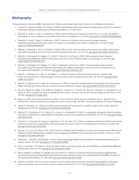# <span id="page-27-0"></span>**Bibliography**

**Comprehensive, Intensive ABA Treatment for Children with Autism Spectrum Disorder and Related Conditions**

- 1. Cohen, H., Amerine-Dickens, M., Smith, T. (2006). Early intensive behavioral treatment: Replication of the UCLA model in a community setting. *Developmental and Behavioral Pediatrics, 27*, S145-S155.
- 2. Eikeseth, S., Smith, T., Jahr, E., & Eldevik, S. (2002). Intensive behavioral treatment at school for 4- to-7-year-old children with autism: A 1-year comparison controlled study. *Behavior Modification, 26,* 49-68. [doi.org/10.1177/0145445502026001004](http://doi.org/10.1177/0145445502026001004)
- 3. Eikeseth, S., Smith, T, Jahr, E., & Eldevik, S. (2007). Outcome for children with autism who began intensive behavioral treatment between ages 4 and 7: A comparison controlled study. *Behavior Modification, 31*, 264-278. [doi.](http://doi.org/10.1177/0145445506291396) [org/10.1177/0145445506291396](http://doi.org/10.1177/0145445506291396)
- 4. Eldevik, S., Eikeseth, S., Jahr, E., & Smith, T. (2006). Effects of low-intensity behavioral treatment for children with autism and mental retardation. *Journal of Autism and Developmental Disorders, 36,* 211-224. [doi.org/10.1007/s10803-005-0058-x](http://doi.org/10.1007/s10803-005-0058-x)
- 5. Eldevik, S., Hastings, R. P., Hughes, J. C., Jahr, E., Eikeseth, S., & Cross, S. (2009). Meta-analysis of early intensive behavioral intervention for children with autism. *Journal of Clinical Child & Adolescent Psychology, 38,* 439-450. [doi.](http://doi.org/10.1080/15374410902851739) [org/10.1080/15374410902851739](http://doi.org/10.1080/15374410902851739)
- 6. Eldevik, S., Hastings, R. P., Hughes, J. C., Jahr, E., Eikeseth, S., & Cross, S. (2010). Using participant data to extend the evidence base for intensive behavioral intervention for children with autism. *American Journal of Intellectual and Developmental Disabilities, 115,* 381-405. [doi.org/10.1352/1944-7558-115.5.381](http://doi.org/10.1352/1944-7558-115.5.381)
- 7. Eldevik, S., Hastings, R. P., Jahr, E., & Hughes, J. C. (2012). Outcomes of behavioral intervention for children with autism in mainstream pre-school settings. *Journal of Autism and Developmental Disorders, 42,* 210-220. [doi.org/10.1007/](http://doi.org/10.1007/s10803-011-1234-9) [s10803-011-1234-9](http://doi.org/10.1007/s10803-011-1234-9)
- 8. Eldevik, S., Titlestad, K.R., Aarlie, H., & Tonnesen, R. (2019). Community implementation of early behavioral intervention: Higher intensity gives better outcome. *European Journal of Behavior Analysis.* [doi.org/10.1080/15021149.2019.1629781](http://doi.org/10.1080/15021149.2019.1629781)
- 9. Fein, D., Barton, M., Eigsti, I. M., Kelley, E., Naigles, L., Schultz, R. T., Stevens, M., Helt, M., Orinstein, A., Mosenthal, M., & Tyson, K. (2013). Optimal outcome in individuals with a history of autism. *Journal of Child Psychology and Psychiatry, 54*(2)*,* 195-205. [doi.org/10.1111/jcpp.12037](http://doi.org/10.1111/jcpp.12037)
- 10. Green, G. (2011). Early intensive behavior analytic intervention for autism spectrum disorders. In E. A. Mayville & J. A. Mulick (Eds.), *Behavioral foundations of effective autism treatment* (pp. 183-199). Cornwall on Hudson, NY: Sloan Publishing.
- 11. Green, G., Brennan, L.C., & Fein, D. (2002). Intensive behavioral treatment for a toddler at high risk for autism. *Behavior Modification*, *26*, 69-102. [doi.org/10.1177/0145445502026001005](http://doi.org/10.1177/0145445502026001005)
- 12. Howard, J. S., Sparkman, C. R., Cohen, H. G., Green, G., & Stanislaw, H. (2005). A comparison of intensive behavior analytic and eclectic treatments for young children with autism. *Research in Developmental Disabilities, 26,* 359-383. [doi.org/10.1016/j.](http://doi.org/10.1016/j.ridd.2004.09.005) [ridd.2004.09.005](http://doi.org/10.1016/j.ridd.2004.09.005)
- 13. Howard, J. S., Stanislaw, H., Green, G., Sparkman, C. R., & Cohen, H. G. (2014). Comparison of behavior analytic and eclectic early interventions for young children with autism after three years. *Research in Developmental Disabilities, 35,* 3326-3344. [doi.org/10.1016/j.ridd.2014.08.021](http://doi.org/10.1016/j.ridd.2014.08.021)
- 14. Hyman, S.L., Levy, S.E., Myers, S.M., AAP Council on Children with Disabilities, Section on Developmental and Behavioral Pediatrics (2020). Identification, evaluation, and management of children with autism spectrum disorder. *Pediatrics, 145*(1). [doi.org/10.1542/peds.2019-3447](http://doi.org/10.1542/peds.2019-3447)
- 15. Klintwall, L., Eldevik, S., & Eikeseth, S. (2015). Narrowing the gap: Effects of intervention on developmental trajectories in autism. *Autism, 19,* 53-63. [doi.org/10.1177/1362361313510067](http://doi.org/10.1177/1362361313510067)
- 16. Perry, A., Koudys, J., Prichard, A., & Ho, H. (2019). Follow-up study of youth who received EIBI as young children. Behavior Modification, 44(2), 181-201. [doi.org/10.1177/0145445517746916](http://doi.org/10.1177/0145445517746916)
- 17. Peters-Scheffer, N., Didden, R., Mulders, M., & Korzilius, H. (2010). Low intensity behavioral treatment supplementing preschool services for young children with autism spectrum disorders and severe to mild intellectual disability. *Research in Developmental Disabilities, 31,* 1678-1684. [doi.org/10.1016/j.ridd.2010.04.008](http://doi.org/10.1016/j.ridd.2010.04.008)
- 18. Reichow, B. (2012). Overview of meta-analyses on early intensive behavioral intervention for young children with autism spectrum disorders. *Journal of Autism and Developmental Disorders, 42*, 512-520. [doi.org/10.1007/s10803-011-1218-9](http://doi.org/10.1007/s10803-011-1218-9)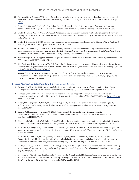- 19. Sallows, G.O. & Graupner, T. D. (2005). Intensive behavioral treatment for children with autism: Four-year outcome and predictors. *American Journal on Mental Retardation*, *110*, 417-438. [doi.org/10.1352/0895-8017\(2005\)110\[417:IBTFCW\]2.0](http://doi.org/10.1352/0895-8017(2005)110[417:IBTFCW]2.0.CO;2) [.CO;2](http://doi.org/10.1352/0895-8017(2005)110[417:IBTFCW]2.0.CO;2)
- 20. Smith, D.P., Hayward, D.W., Gale, C.M, Eikeseth, S., & Klintwall, L. (2019). Treatment gains from early and intensive behavioral intervention (EIBI) are maintained 10 years later. *Behavior Modification.* [doi.org/10.1177/0145445519882895](http://doi.org/10.1177/0145445519882895)
- 21. Smith, T., Groen, A.D., & Wynn, J.W. (2000). Randomized trial of intensive early intervention for children with pervasive developmental disorder. *American Journal on Mental Retardation, 105,* 269-285. [doi.org/10.1352/0895-8017\(2000\)105%3C026](http://doi.org/10.1352/0895-8017(2000)105%3C0269:rtoiei%3E2.0.co;2) [9:rtoiei%3E2.0.co;2](http://doi.org/10.1352/0895-8017(2000)105%3C0269:rtoiei%3E2.0.co;2)
- 22. Smith, T. & Iadarola, S. (2015). Evidence base update for autism spectrum disorder. *Journal of Clinical Child & Adolescent Psychology, 44,* 897-922. [doi.org/10.1080/15374416.2015.1077448](http://doi.org/10.1080/15374416.2015.1077448)
- 23. Stanislaw, H., Howard, J., & Martin, C. (2019). Helping parents choose treatments for young children with autism: A comparison of applied behavior analysis and eclectic treatments. *Journal of the American Association of Nurse Practitioners, November 13, 2019 Volume Online Now Issue*. [doi.org/10.1097/JXX.0000000000000290](http://doi.org/10.1097/JXX.0000000000000290)
- 24. Virués-Ortega, J. (2010). Applied behavior analytic intervention for autism in early childhood. *Clinical Psychology Review, 30*, 387-399. [doi.org/10.1016/j.cpr.2010.01.008](http://doi.org/10.1016/j.cpr.2010.01.008)
- 25. Virués-Ortega, J., Rodríguez, V., & Yu, C. T. (2013). Prediction of treatment outcomes and longitudinal analysis in children with autism undergoing intensive behavioral intervention. *International Journal of Clinical and Health Psychology, 13,* 91-100. [doi.org/10.1016/S1697-2600\(13\)70012-7](http://doi.org/10.1016/S1697-2600(13)70012-7)
- 26. Waters, C.F., Dickens, M.A., Thurston, S.W., Lu, X., & Smith, T. (2020). Sustainability of early intensive behavioral intervention for children with autism spectrum disorder in a community setting. *Behavior Modification, 44(1),* 3-26. [doi.](http://doi.org/10.1177/0145445518786463) [org/10.1177/0145445518786463](http://doi.org/10.1177/0145445518786463)

#### **Focused ABA Treatments for Patients with Developmental Disorders**

- 1. Brosnan, J. & Healy, O. (2011). A review of behavioral interventions for the treatment of aggression in individuals with developmental disabilities. *Research in Developmental Disabilities, 32,* 437-406. [doi.org/10.1016/j.ridd.2010.12.023](http://doi.org/10.1016/j.ridd.2010.12.023)
- 2. Campbell, J.M. (2003) Efficacy of behavioral interventions for reducing problem behavior in persons with autism: A quantitative synthesis of single-subject research. *Research in Developmental Disabilities 24* (2003) 120-138. [doi.org/10.1016/](http://doi.org/10.1016/s0891-4222(03)00014-3) [s0891-4222\(03\)00014-3](http://doi.org/10.1016/s0891-4222(03)00014-3)
- 3. Dixon, D.R., Bergstrom, R., Smith, M.N., & Tarbox, J. (2010). A review of research on procedures for teaching safety skills to persons with developmental disabilities. *Research in Developmental Disabilities, 31*, 985-994. [doi.org/10.1016/j.](http://doi.org/10.1016/j.ridd.2010.03.007) [ridd.2010.03.007](http://doi.org/10.1016/j.ridd.2010.03.007)
- 4. Erturk, B., Machalicek, W., & Drew, C. (2018). Self-injurious behavior in children with developmental disabilities: A systematic review of behavioral intervention literature. *Behavior Modification, 42(4),* 498-542. [doi.](http://doi.org/10.1177/0145445517741474) [org/10.1177/0145445517741474](http://doi.org/10.1177/0145445517741474)
- 5. Hagopian, L.P., Rooker, G.W., & Rolider, N.U. (2011). Identifying empirically supported treatments for pica in individuals with intellectual disabilities. *Research in Developmental Disabilities, 32,* 2114-2120. [doi.org/10.1016/j.ridd.2011.07.042](http://doi.org/10.1016/j.ridd.2011.07.042)
- 6. Hassiotis, A., Canagasabey, A., Robotham, D., Marston, L., Romeo, R., & King, M. (2011). Applied behaviour analysis and standard treatment in intellectual disability: 2-year outcomes. *The British Journal of Psychiatry, 198,* 490-491. [doi.org/10.1192/](http://doi.org/10.1192/bjp.bp.109.076646) [bjp.bp.109.076646](http://doi.org/10.1192/bjp.bp.109.076646)
- 7. Hassiotis, A., Robotham, D., Canagasabey, A., Romeo, R., Langridge, D., Blizard, R., Murad, S., & King, M. (2009). Randomized, single-blind, controlled trial of a specialist behavior therapy team for challenging behavior in adults with intellectual disabilities. *American Journal of Psychiatry, 166*, 1278-1285. [doi.org/10.1176/appi.ajp.2009.08111747](http://doi.org/10.1176/appi.ajp.2009.08111747)
- 8. Heath, A., Ganz, J., Parker, R., Burke, M., & Ninci, J. (2015). A meta-analytic review of functional communication training across mode of communication, age, and disability. *Review Journal of Autism and Developmental Disorders, 2*, 155-166. [doi.](http://doi.org/10.1007/s40489-014-0044-3) [org/10.1007/s40489-014-0044-3](http://doi.org/10.1007/s40489-014-0044-3)
- 9. Heyvaert, M., Maes, B., Van den Noortgate, W., Kuppens, S., & Onghena, P. (2012). A multilevel meta-analysis of single-case and small-n research on interventions for reducing challenging behavior in persons with intellectual disabilities. *Research in Developmental Disabilities, 33,* 766-780. [doi.org/10.1016/j.ridd.2011.10.010](http://doi.org/10.1016/j.ridd.2011.10.010)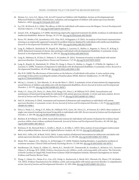- 10. Hyman, S.L., Levy, S.E., Myers, S.M., & AAP Council on Children with Disabilities, Section on Developmental and Behavioral Pediatrics (2020). Identification, evaluation, and management of children with autism spectrum disorder. *Pediatrics, 145*(1). [doi.org/10.1542/peds.2019-3447](http://doi.org/10.1542/peds.2019-3447)
- 11. Ivy, J.W., & Schreck, K.A. (2016). The efficacy of ABA for individuals with autism across the lifespan. *Current Developmental Disorders Reports, 3,* 57-66. [doi.org/10.1007/s40474-016-0070-1](http://doi.org/10.1007/s40474-016-0070-1)
- 12. Jennett, H.K., & Hagopian, L.P. (2008). Identifying empirically supported treatments for phobic avoidance in individuals with intellectual disabilities. *Behavior Therapy, 39,* 151-161. [doi.org/10.1016/j.beth.2007.06.003](http://doi.org/10.1016/j.beth.2007.06.003)
- 13. Kurtz, P.F., Boelter, E.W., Jarmolowicz, D.P., Chin, M.D., & Hagopian, L.P. (2011). An analysis of functional communication training as an empirically supported treatment for problem behavior displayed by individuals with intellectual disabilities. *Research in Developmental Disabilities, 32,* 2935-2942. [doi.org/10.1016/j.ridd.2011.05.009](http://doi.org/10.1016/j.ridd.2011.05.009)
- 14. Lang, R., Didden R., Machalicek, W., Rispoli, M., Sigafoos, J., Lancioni, G., Mulloy, A., Regester, A., Pierce, N., & Kang, S. (2010). Behavioral treatment of chronic skin-picking in individuals with developmental disabilities: A systematic review. *Research in Developmental Disabilities, 31,* 304-315. [doi.org/10.1016/j.ridd.2009.10.017](http://doi.org/10.1016/j.ridd.2009.10.017)
- 15. Lang, R., Mahoney, R., El Zein, F., Delaune, E., & Amidon, M. (2011). Treatment of anxiety in individuals with autism spectrum disorders. *Neuropsychiatric Disease and Treatment, 7*, 27-30. [doi.org/10.2147/NDT.S10327](http://doi.org/10.2147/NDT.S10327)
- 16. Lang, R., Rispoli, M., Machalicek, W., White, P.J., Kang, S., Pierce, N., Mulloy, A., Fragale, T., O'Reilly, M., Sigafoos, J., & Lancioni, G. (2009). Treatment of elopement in individuals with developmental disabilities: A systematic review. *Research in Developmental Disabilities, 30,* 670-681. [doi.org/10.1016/j.ridd.2008.11.003](http://doi.org/10.1016/j.ridd.2008.11.003)
- 17. Ma, H-H. (2009) The effectiveness of intervention on the behavior of individuals with autism: A meta-analysis using percentage of data points exceeding the median of baseline phase (PEM). *Behavior Modification, 33,* 339-359. [doi.](http://doi.org/10.1177/0145445509333173) [org/10.1177/0145445509333173](http://doi.org/10.1177/0145445509333173)
- 18. McLay, L., Carnett, A., Tyer-Merrick,. G., & van der Meer, L. (2015). A systematic review of interventions for inappropriate sexual behavior of children and adolescents with developmental disabilities. *Review Journal of Autism and Developmental Disorders, 2,* 357-373. [doi.org/10.1007/s40489-015-0058-5](http://doi.org/10.1007/s40489-015-0058-5)
- 19. Neely, L.C., Ganz, J.B., Davis, J.L., Boles, M.B., Hong, E.R., Ninci, J., & Gilliland, W.D. (2016). Generalization and maintenance of functional living skills for individuals with autism spectrum disorder: A review and meta-analysis. *Review Journal of Autism and Developmental Disorders, 3,* 37-47. [doi.org/10.1007/s40489-015-0064-7](http://doi.org/10.1007/s40489-015-0064-7)
- 20. Neil, N., & Sturmey, P. (2014). Assessment and treatment of obsessions and compulsions in individuals with autism spectrum disorders: A systematic review. *Review Journal of Autism and Developmental Disorders, 1*, 61-79. [doi.org/10.1007/](http://doi.org/10.1007/s40489-013-0006-1) [s40489-013-0006-1](http://doi.org/10.1007/s40489-013-0006-1)
- 21. Ninci, J., Neely, L.C., Hong, E. R., Boles, M., Gilliland, W.D., Ganz, J.B., Davis, J.L., & Vannest, K.J. (2015). Meta-analysis of single-case research teaching functional living skills to individuals with ASD. *Review Journal of Autism and Developmental Disorders, 2,* 184-198. [doi.org/10.1007/s40489-014-0046-1](http://doi.org/10.1007/s40489-014-0046-1)
- 22. Reichow, B. & Volkmar, F.R. (2010). Social skills interventions for individuals with autism: Evaluation for evidence-based practices within a best evidence synthesis framework. *Journal of Autism and Developmental Disorders, 40,* 149-166. [doi.](http://doi.org/10.1007/s10803-009-0842-0) [org/10.1007/s10803-009-0842-0](http://doi.org/10.1007/s10803-009-0842-0)
- 23. Richman, D. M., Barnard-Brak, L., Grubb, L., Bosch, A., & Abby, L. (2015). Meta-analysis of noncontingent reinforcement effects on problem behavior. *Journal of Applied Behavior Analysis*, *48*, 131-152. [doi.org/10.1002/jaba.189](http://doi.org/10.1002/jaba.189)
- 24. Roth, M.E., Gillis, J.M., & Reed, F.D.D. (2014). A meta-analysis of behavioral interventions for adolescents and adults with autism spectrum disorders. *Journal of Behavioral Education, 23*, 258-286. [doi.org/10.1007/s10864-013-9189-x](http://doi.org/10.1007/s10864-013-9189-x)
- 25. Sharp, W.G., Jaquess, D.L., Morton, J.J., & Herzinger, C.V. (2010). Pediatric feeding disorders: A quantitative synthesis of treatment outcomes. *Clinical Child and Family Psychology Review, 13,* 348-365. [doi.org/10.1007/s10567-010-0079-7](http://doi.org/10.1007/s10567-010-0079-7)
- 26. Steinbrenner, J.R., Hume, K., Odom, S.L., Morin, K.L., Nowell, S.W., Tomaszewski, B., Szendrey, S., McIntyre, N.S., Yucesory-Ozkan, S., & Savage, M.N. (2020). *Evidence-based practices for children, youth, and young adults with autism.* The University of North Carolina at Chapel Hill, Frank Porter Graham Child Development Institute, National Clearinghouse on Autism Evidence and Practice Review Team.
- 27. Wong, C., Odom, S.L., Hume, K.A., Cox, A.W., Fettig, A., Kucharczyk, S., Brock, M.E., Plavnick, J.B., Fleury, V.P., & Schultz, T.R. (2015). Evidence-based practices for children, youth, and young adults with autism spectrum disorder: A comprehensive review. *Journal of Autism and Developmental Disorders, 45*, 1951-1966. [doi.org/10.1007/s10803-014-2351-z](http://doi.org/10.1007/s10803-014-2351-z)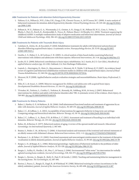#### **ABA Treatments for Patients with Attention Deficit/Hyperactivity Disorder**

- 1. Fabiano, G.A., Pelham Jr., W.E., Coles, E.K., Gnagy, E.M., Chronis-Tscano, A., & O'Connor, B.C. (2009). A meta-analysis of behavioral treatments for attention-deficit/hyperactivity disorder. *Clinical Psychology Review, 29,* 129-140. [doi.org/10.1016/j.](http://doi.org/10.1016/j.cpr.2008.11.001) [cpr.2008.11.001](http://doi.org/10.1016/j.cpr.2008.11.001)
- 2. Pelham Jr., W. E., Fabiano, G. A., Waxmonsky, J. G., Greiner, A. R., Gnagy, E. M., Pelham III, W. E., Coxe, S., Verley, J., Bhatia, I., Hart, K., Karch, K., Konijnendijk, E., Tresco, K., Nahum-Shani, I. & Murphy, S.A. (2016). Treatment sequencing for childhood ADHD: A multiple-randomization study of adaptive medication and behavioral interventions. *Journal of Clinical Child and Adolescent Psychology, 45(4),* 396-415. [doi.org/10.1080/15374416.2015.1105138](http://doi.org/10.1080/15374416.2015.1105138)

#### **ABA Treatments for Patients with Traumatic Brain Injury**

- 1. Cattelani, R., Zettin, M., & Zoccolotti, P. (2010). Rehabilitation treatments for adults with behavioral and psychosocial disorders following acquired brain injury: A systematic review. *Neuropsychology Review, 20,* 52-85. [doi.org/10.1007/](http://doi.org/10.1007/s11065-009-9125-y) [s11065-009-9125-y](http://doi.org/10.1007/s11065-009-9125-y)
- 2. Gurdin, L. S., Huber, S. A., & Cochran, C. R. (2005). A critical analysis of data-based studies examining behavioral interventions with children and adolescents with brain injuries. *Behavioral Interventions, 20,* 3-16. [doi.org/10.1002/bin.172](http://doi.org/10.1002/bin.172)
- 3. Jacobs, H. E. (2000). Behavioral contributions to brain-injury rehabilitation. In J. Austin, & J. E. Carr (Eds.), *Handbook of applied behavior analysis* (pp. 211-230). Oakland, CA: New Harbinger Publications.
- 4. Laatsch, L., Harrington, D., Hotz, G., Marcantuono, J., Mozzoni, M. P., Walsh, V, & Hersey, K. P. (2007). An evidence-based review of cognitive and behavioral rehabilitation treatment studies in children with acquired brain injury. *Journal of Head Trauma Rehabilitation, 22*, 248-256. [doi.org/10.1097/01.HTR.0000281841.92720.0a](http://doi.org/10.1097/01.HTR.0000281841.92720.0a)
- 5. Mozzoni, M. P. (2008). Applied behavior analysis evaluation strategies and neurorehabilitation. *Brain Injury Professional, 5*, 29-31.
- 6. Slifer, K. J., & Amari, A. (2009). Behavior management for children and adolescents with acquired brain injury. *Developmental Disabilities Research Reviews, 15*, 144-151. [doi.org/10.1002/ddrr.60](http://doi.org/10.1002/ddrr.60)
- 7. Ylvisaker, M., Turkstra, L., Coehlo, C., Yorkston, K., Kennedy, M., Sohlberg, M.M., & Avery, J. (2007). Behavioural interventions for children and adults with behavior disorders after TBI: A systematic review of the evidence. *Brain Injury, 21,*  769-805. [doi.org/10.1080/02699050701482470](http://doi.org/10.1080/02699050701482470)

#### **ABA Treatments for Elderly Patients**

- 1. Baker, J., Hanley, G. P., & Mathews, R. M. (2006). Staff administered functional analysis and treatment of aggression by an elder with dementia. *Journal of Applied Behavior Analysis*, *39,* 469-474. [doi.org/10.1901/jaba.2006.80-05](http://doi.org/10.1901/jaba.2006.80-05)
- 2. Baker, J. C., & LeBlanc, L. A. (2011). Acceptability of interventions for aggressive behavior in long-term care settings: Comparing ratings and hierarchical selection. *Behavior Therapy*, *42,* 30–41. [doi.org/10.1016/j.beth.2010.04.005](http://doi.org/10.1016/j.beth.2010.04.005)
- 3. Baker, J. C., LeBlanc, L. A., Raetz, P. B., & Hilton, L. C. (2011). Assessment and treatment of hoarding in an individual with dementia. *Behavior Therapy*, *42*, 135-142. [doi.org/10.1016/j.beth.2010.02.006](http://doi.org/10.1016/j.beth.2010.02.006)
- 4. Baltes, M., & Barton, E. (1977). Behavioral analysis of aging: A review of the operant model and research. *Educational Gerontology: An International Quarterly*, *2,* 383-405.
- 5. Beaton, S., Peeler, C. M., & Harvey, T. (2006). A functional analysis and treatment of the irrational and rational statements of an elderly woman with Alzheimer's disease. *Behavioral Interventions*, *21(1),* 1-12. [doi.org/10.1177/016502547900200307](http://doi.org/10.1177/016502547900200307)
- 6. Buchanan, J. A., & Fisher, J. E. (2002). Functional assessment and noncontingent reinforcement in the treatment of disruptive vocalization in elderly dementia patients. *Journal of Applied Behavior Analysis*, *35,* 99-103. [doi.org/10.1901/jaba.2002.35-99](http://doi.org/10.1901/jaba.2002.35-99)
- 7. Burgio, L. D., & Burgio, K. L. (1986). Behavioral gerontology: Application of behavioral methods to the problems of older adults. *Journal of Applied Behavior Analysis*, *19,* 321-328. [doi.org/10.1901/jaba.1986.19-321](http://doi.org/10.1901/jaba.1986.19-321)
- 8. Burgio, L., Scilley, K., Hardin, J. M., Hsu, C., & Yancey, J. (1996). Environmental "white noise:" An intervention for verbally agitated nursing home residents. *Journal of Gerontology*, *51B*, 364-373. [doi.org/10.1093/geronb/51B.6.P364](http://doi.org/10.1093/geronb/51B.6.P364)
- 9. Burgio, L., Stevens, A., Burgio, K., Roth, D., Paul, P., & Gerstle, J. (2002). Teaching and maintaining behavior management in the nursing home. *The Gerontologist*, *42,* 487-496.
- 10. Burton, J., Pearce, L., Burgio, K., Engel, B., & Whitehead, W. (1988). Behavioral training for urinary incontinence in the elderly ambulatory patient. *Journal of the American Geriatrics Society*, *36,* 693-698. [doi.org/10.1093/geront/42.4.487](http://doi.org/10.1093/geront/42.4.487)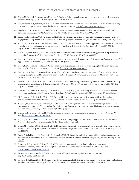- 11. Dixon, M., Baker, J. C., & Sadowski, K. A. (2011). Applying Skinner's analysis of verbal behavior to persons with dementia. *Behavior Therapy*, *42,* 120–126. [doi.org/10.1016/j.beth.2010.05.002](http://doi.org/10.1016/j.beth.2010.05.002)
- 12. Dwyer-Moore, K. J., & Dixon, M. R. (2007). Functional analysis and treatment of problem behavior of elderly adults in longterm care settings. *Journal of Applied Behavior Analysis*, *40,* 679–684. [doi.org/10.1901/jaba.2007.679-683](http://doi.org/10.1901/jaba.2007.679-683)
- 13. Engelman, K. K., Altus, D. E., & Mathews, R. M. (1999). Increasing engagement in daily activities by older adults with dementia. *Journal of Applied Behavior Analysis*, *32*, 107-110. [dx.doi.org/10.1901/jaba.1999.32-107](http://dx.doi.org/10.1901/jaba.1999.32-107)
- 14. Engstrom, E., Mudford, O., C., & Brand, D. (2015). Replication and extension of a check-in procedure to increase activity engagement among people with severe dementia. *Journal of Applied Behavior Analysis*, *48,* 460-465. [doi.org/10.1002/jaba.195](http://doi.org/10.1002/jaba.195)
- 15. Feliciano, L., Steers, M. E., Elite-Marcandontou, A., McLane, M., & Areán, P. A. (2009). Applications of preference assessment procedures in depression and agitation management in elders with dementia. *Clinical Gerontologist*, *32*, 239-259. [doi.](http://doi.org/10.1080/07317110902895226) [org/10.1080/07317110902895226](http://doi.org/10.1080/07317110902895226)
- 16. Fisher, J. E., & Buchanan, J. A. (2018). Presentation of preferred stimuli as an intervention for aggression in a person with dementia. *Behavior Analysis: Research and Practice*, *18,* 33-40. [dx.doi.org/10.1037/bar0000086](http://dx.doi.org/10.1037/bar0000086)
- 17. Heard, K., & Watson, T. S. (1999). Reducing wandering by persons with dementia using differential reinforcement. *Journal of Applied Behavior Analysis*, *32,* 381-384. [doi.org/10.1901/jaba.1999.32-381](http://doi.org/10.1901/jaba.1999.32-381)
- 18. Henry, L. M., & Horne, P. J. (2000). Partial remediation of speaker and listener behaviors in people with severe dementia. *Journal of Applied Behavior Analysis*, *33,* 631–634. [doi.org/10.1901/jaba.2000.33-631](http://doi.org/10.1901/jaba.2000.33-631)
- 19. Larrabee, D., Baker, J. C., & O'Neill, D. (2018). Effects of programmed discriminative stimuli in a functional analysis on language disruptions in older adults with neurocognitive disorders. *Behavior Analysis:Research and Practice*, *18(1),* 16-32. [dx.doi.org/10.1037/bar0000044](http://dx.doi.org/10.1037/bar0000044)
- 20. LeBlanc, L. A., Cherup, S. M., Feliciano, L., & Sidener, T. M. (2006). Using choice-making opportunities to increase activity engagement in individuals with dementia. *American Journal of Alzheimer's Disease & Other Dementias*, *21,* 318-325. [doi.](http://doi.org/10.1177/1533317506292183) [org/10.1177/1533317506292183](http://doi.org/10.1177/1533317506292183)
- 21. LeBlanc, L. A., Raetz, P. B., Baker, J. C., Strobel, M. J., & Feeney, B. J. (2008). Assessing preference in elders with dementia using multimedia and verbal Pleasant Events Schedules. *Behavioral Interventions*, *23*, 213-225. [doi.org/10.1002/bin.266](http://doi.org/10.1002/bin.266)
- 22. McClannahan, L. E., & Risley, T. R. (1975). Design of living environments for nursing-home residents: Increasing participation in recreation activities. *Journal of Applied Behavior Analysis*, *8*, 261-268. [doi.org/10.1901/jaba.1975.8-261](http://doi.org/10.1901/jaba.1975.8-261)
- 23. Noguchi, D., Kawano, Y., & Yamanaka, K. (2013). Care staff training in residential homes for managing behavioral and psychological symptoms of dementia based on different reinforcement procedures of applied behavior analysis: A process research. *Psychogeriatrics*, *13*, 108-117. [doi.org/10.1111/psyg.12006](http://doi.org/10.1111/psyg.12006)
- 24. Oleson, C. R., & Baker, J. C. (2014). Teaching mands to older adults with dementia. *The Analysis of Verbal Behavior*, *30*, 113- 127. [doi.org/10.1007/s40616-014-0018-7](http://doi.org/10.1007/s40616-014-0018-7)
- 25. Pachis, J. A., & Zonneveld, K. L. M. (2019). Comparison of prompting procedures to teach internet skills to older adults. *Journal of Applied Behavior Analysis*, *52*,173-187. [doi.org/10.1002/jaba.519](http://doi.org/10.1002/jaba.519)
- 26. Quick, M. J., Baker, J. C., & Ringdahl, J. E. (2018). Assessing the validity of engagement-based and selection-based preference assessments in elderly individuals with dementia. *Behavior Analysis:Research and Practice*, *18(1),* 92-102. [dx.doi.org/10.1037/](http://dx.doi.org/10.1037/bar0000070) [bar0000070](http://dx.doi.org/10.1037/bar0000070)
- 27. Raetz, P. B., LeBlanc, L. A., Baker, J. C., & Hilton, L. (2013). Utility of the multiple stimulus without replacement procedure and stability of preferences of older adults with dementia. *Journal of Applied Behavior Analysis. 46*, 765-780. [doi.org/10.1002/](http://doi.org/10.1002/jaba.88) [jaba.88](http://doi.org/10.1002/jaba.88)
- 28. Simmons, S. F., Alessi, C., & Schnelle, J. F. (2001). An intervention to increase fluid intake in nursing home residents: Prompting and preference compliance. *Journal of the American Geriatrics Society*, *49*, 926-933. [doi.](http://doi.org/10.1046/j.1532-5415.2001.49183.x) [org/10.1046/j.1532-5415.2001.49183.x](http://doi.org/10.1046/j.1532-5415.2001.49183.x)
- 29. Skinner, B. F. (1983). Intellectual self-management in old age. *American Psychologist*, *38*, 239-244. [doi.](http://doi.org/10.1037/0003-066X.38.3.239) [org/10.1037/0003-066X.38.3.239](http://doi.org/10.1037/0003-066X.38.3.239)
- 30. Stock, L. Z., & Milan, M. A. (1993). Improving dietary practices of elderly individuals: The power of prompting, feedback, and social reinforcement. *Journal of Applied Behavior Analysis*, *26*, 379-387. [doi.org/10.1901/jaba.1993.26-379](http://doi.org/10.1901/jaba.1993.26-379)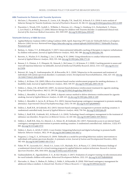#### **ABA Treatments for Patients with Tourette Syndrome**

- 1. McGuire, J., Piacentini, J., Brennan, E., Lewin, A.B., Murphy, T.K., Small, B.J., & Storch, E.A. (2014) A meta-analysis of behavior therapy for Tourette Syndrome. *Journal of Psychiatric Research, 50*, 106-112. [doi.org/10.1016/j.jpsychires.2013.12.009](http://doi.org/10.1016/j.jpsychires.2013.12.009)
- 2. Piacentini, J., Woods, D.W., Scahill, L., Wilhelm, S., Peterson, A.L., Chang, S., Ginsburg, G.S., Deckersbach, T., Dziura, J., Levi-Pearl, S., & Walkup, J.T. (2010). Behavior therapy for children with Tourette disorder: A randomized clinical trial. *Journal of the American Medical Association, 303,* 1929-1937. [doi.org/10.1001/jama.2010.607](http://doi.org/10.1001/jama.2010.607)

#### **Telehealth Delivery of ABA Services**

- 1. Applied Behavior Analysis (ABA) Coding Coalition (2020, April). *Reporting CPT Codes for Telehealth Delivery of Adaptive Behavior (ABA) Services*. Retrieved from [https://abacodes.org/wp-content/uploads/2020/04/ABACC-Telehealth-Practice-](https://abacodes.org/wp-content/uploads/2020/04/ABACC-Telehealth-Practice-Parameters.pdf)[Parameters.pdf](https://abacodes.org/wp-content/uploads/2020/04/ABACC-Telehealth-Practice-Parameters.pdf)
- 2. Barkaia, A., Stokes, T. F., & Mikiashvili, T. (2017). Intercontinental telehealth coaching of therapists to improve verbalizations by children with autism. *Journal of Applied Behavior Analysis, 50(3),* 582–589. [doi.org/10.1002/jaba.391](https://doi.org/10.1002/jaba.391)
- 3. Barretto, A., Wacker, D. P., Harding, J., Lee, J., & Berg, W. K. (2006). Using telemedicine to conduct behavioral assessments. *Journal of Applied Behavior Analysis, 39(3),* 333–340. [doi.org/10.1901/jaba.2006.173-04](http://doi.org/10.1901/jaba.2006.173-04)
- 4. Benson, S. S., Dimian, A. F., Elmquist, M., Simacek, J., McComas, J. J., & Symons, F. J. (2018). Coaching parents to assess and treat self-injurious behaviour via telehealth. *Journal of Intellectual Disability Research*, *62*(12), 1114–1123. [doi.org/10.1111/](https://doi.org/10.1111/jir.12456) [jir.12456](https://doi.org/10.1111/jir.12456)
- 5. Boisvert, M., Lang, R., Andrianopoulos, M., & Boscardin, M. L. (2010). Telepractice in the assessment and treatment of individuals with autism spectrum disorders: A systematic review. *Developmental Neurorehabilitation, 13*(6), 423–432. [doi.org](https://doi.org/10.3109/17518423.2010.499889) [/10.3109/17518423.2010.499889](https://doi.org/10.3109/17518423.2010.499889)
- 6. Dallery, J., & Glenn, I.M. (2005). Effects of an internet-based voucher reinforcement program for smoking abstinence: A feasibility study. *Journal of Applied Behavior Analysis, 38(3),* 349-357. [doi.org/10.1901/jaba.2005.150-04](https://doi.org/10.1901/jaba.2005.150-04)
- 7. Dallery, J., Glenn, I.M., & Raiff, B.R. (2007). An internet-based abstinence reinforcement treatment for cigarette smoking. *Drug and Alcohol Dependence, 86(2-3),* 230-238. [doi.org/10.1016/j.drugalcdep.2006.06.013](https://doi.org/10.1016/j.drugalcdep.2006.06.013)
- 8. Dallery, J., Meredith, S., & Glenn, I. M. (2008). A deposit contract method to deliver abstinence reinforcement for cigarette smoking. *Journal of Applied Behavior Analysis, 41*, 609–615. [dx.doi.org/10.1901/jaba.2008.41-609](http://dx.doi.org/10.1901/jaba.2008.41-609)
- 9. Dallery, J., Meredith, S., Jarvis, B., & Nuzzo, P.A. (2015). Internet-based group contingency management to promote smoking abstinence. *Experimental Clinical Psychopharmacology, 23(3)*, 176-183. [doi.org/10.1037/pha0000013](https://content.apa.org/doi/10.1037/pha0000013)
- 10. Dallery, J., Raiff, B.R., & Grabinski, M.J. (2013). Internet-based contingency management to promote smoking cessation: A randomized controlled study. *Journal of Applied Behavior Analysis, 46(4)*, 750-764. [doi.org/10.1002/jaba.89](https://doi.org/10.1002/jaba.89)
- 11. Dallery, J., Raiff, B.R., Grabinski, M.J., & Marsch, L.A. (2019). Technology-based contingency management in the treatment of substance-use disorders. *Perspectives on Behavior Science, 42*, 445-464. [doi.org/10.1007/s40614-019-00214-1](http://doi.org/10.1007/s40614-019-00214-1)
- 12. Dallery, J., Raiff, B.R., Kim, S.J., Marsch, L.A., Stitzer, M., & Grabinski, M.J. (2017). Nationwide access to an internet-based contingency management intervention to promote smoking cessation: A randomized controlled trial. *Addiction, 112(5),* 875- 883. [doi.org/10.1111/add.13715](http://doi.org/10.1111/add.13715)
- 13. Dallery, J., Kurti, A., & Erb, P. (2015). A new frontier: Integrating behavioral and digital technology to promote health behavior. *Behavior Analysis, 38(1),* 19-49. [doi.org/10.1007/s40614-014-0017-y](http://doi.org/10.1007/s40614-014-0017-y)
- 14. Ferguson, J., Craig, E. A., & Dounavi, K. (2019). Telehealth as a model for providing behaviour analytic interventions to individuals with autism spectrum disorder: A systematic review. *Journal of Autism and Developmental Disorders*, *49*(2), 582–616. [doi.org/10.1007/s10803-018-3724-5](http://doi.org/10.1007/s10803-018-3724-5)
- 15. Fisher, W. W., Luczynski, K.C., Hood, S.A., Lesser, A.D., Machado, M.A., & Piazza, C.C. (2014) Preliminary findings of a randomized clinical trial of a virtual training program for applied behavior analysis technicians. *Research in Autism Spectrum Disorders, 8*(9), 1044-1054. [doi.org/10.1016/j.rasd.2014.05.002](http://doi.org/10.1016/j.rasd.2014.05.002)
- 16. Gudmundsdottir, K., Sigurdardottir, Z. G., & Ala'i-Rosales, S. (2017). Evaluation of caregiver training via telecommunication for rural Icelandic children with autism. *Behavioral Development Bulletin, 22(1),* 215. [doi.org/10.1037/bdb0000040](http://doi.org/10.1037/bdb0000040)
- 17. Harvanko, A., Slone, S., Shelton, B., Dallery, J., Fields, S., & Reynolds, B. (2018). Web-based contingency management for adolescent tobacco smokers: A clinical trial. *Nicotine & Tobacco Research*, 1–7. [doi.org/10.1093/ntr/nty243](https://doi.org/10.1093/ntr/nty243)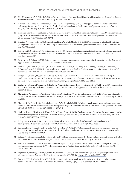- 18. Hay-Hansson, A. W., & Eldevik, S. (2013). Training discrete trials teaching skills using videoconference. *Research in Autism Spectrum Disorders, 7,* 1300–1309. [dx.doi.org/10.1016/j.rasd.2013.07.022](http://dx.doi.org/10.1016/j.rasd.2013.07.022)
- 19. Haymes, L. K., Storey, K., Maldonado, A., Post, M., & Montgomery, J. (2015). Using applied behavior analysis and smart technology for meeting the health needs of individuals with intellectual disabilities. *Developmental Neurorehabilitation, 18(6),* 407–419. [doi.org/10.3109/17518423.2013.850750](http://doi.org/10.3109/17518423.2013.850750)
- 20. Heitzman-Powell, L. S., Buzhardt, J., Rusinko, L. C., & Miller, T. M. (2014). Formative evaluation of an ABA outreach training program for parents of children with autism in remote areas. *Focus on Autism and Other Developmental Disabilities, 29(1),* 23–38. [doi.org/10.1177/1088357613504992.](http://doi.org/10.1177/1088357613504992)
- 21. Higgins, W. J., Luczynski, K. C., Carroll, R. A., Fisher, W. W., & Mudford, O. C. (2017). Evaluation of a telehealth training package to remotely train staff to conduct a preference assessment. *Journal of Applied Behavior Analysis, 50(2),* 238–251. [doi.](https://doi.org/10.1002/jaba.370) [org/10.1002/jaba.370](https://doi.org/10.1002/jaba.370)
- 22. Koffarnus, M. N., Bickel, W. K., & Kablinger, A. S. (2018). Remote alcohol monitoring to facilitate incentive-based treatment for alcohol use disorder: A randomized trial. *Alcoholism: Clinical & Experimental Research, 42*(12), 2423-2431. [doi.](http://doi.org/10.1111/acer.13891) [org/10.1111/acer.13891](http://doi.org/10.1111/acer.13891)
- 23. Kurti, A. N., & Dallery, J. (2013). Internet-based contingency management increases walking in sedentary adults. *Journal of Applied Behavior Analysis, 46*, 568–581. [dx.doi.org/10.1002/jaba.58](http://dx.doi.org/10.1002/jaba.58)
- 24. Lerman, D., O'Brien, M., Neely, L., Call, N. A., Tsami, L., Schieltz, K. M., Berg, W.K., Graber, J., Huang, P., Kopelman, T., & Cooper-Brown, L.J. (2020). Remote coaching of caregivers via telehealth: Challenges and potential solutions. *Journal of Behavioral Education, 29,* 195-221. [doi.org/10.1007/s10864-020-09378-2](http://doi.org/10.1007/s10864-020-09378-2)
- 25. Lindgren, S., Wacker, D., Schieltz, K., Suess, A., Pelzel, K., Kopelman, T., Lee, J., Romani, P., & O'Brien, M. (2020). A randomized controlled trial of functional communication training via telehealth for young children with autism spectrum disorder. *Journal of Autism and Developmental Disorders,* [doi.org/10.1007/s10803-020-04451-1](http://doi.org/10.1007/s10803-020-04451-1)
- 26. Lindgren, S., Wacker, D., Suess, A., Schieltz, K., Pelzel, K., Kopelman, T., Lee, J., Romani, P., & Waldron, D. (2016). Telehealth and autism: Treating challenging behavior at lower cost. *Pediatrics, 137(Supplement 2),* S167–S175. [doi.org/10.1542/](https://doi.org/10.1542/peds.2015-2851O) [peds.2015-2851O](https://doi.org/10.1542/peds.2015-2851O)
- 27. Machalicek, W., Lequia, J., Pinkelman, S., Knowles, C., Raulston, T., Davis, T., & Alresheed, F. (2016). Behavioral telehealth consultation with families of children with autism spectrum disorder. *Behavioral Interventions, 31,* 223–250. [doi.org/10.1002/](http://doi.org/10.1002/bin.1450) [bin.1450](http://doi.org/10.1002/bin.1450).
- 28. Monlux, K. D., Pollard, J. S., Bujanda Rodriguez, A. Y., & Hall, S. S. (2019). Telehealth delivery of function-based behavioral treatment for problem behaviors exhibited by boys with Fragile X Syndrome. *Journal of Autism and Developmental Disorders*, *49*(6), 2461–2475. [doi.org/10.1007/s10803-019-03963-9](http://doi.org/10.1007/s10803-019-03963-9)
- 29. Neely, L., Rispoli, M., Gerow, S., Hong, E. R., & Hagan-Burke, S. (2017). Fidelity outcomes for autism-focused interventionists coached via telepractice: A systematic literature review. *Journal of Developmental and Physical Disabilities, 29(6),* 849–874. [doi.org/10.1007/s10882-017-9550-4.](http://doi.org/10.1007/s10882-017-9550-4)
- 30. Pellegrino, A., & Reed, F. D. (15 June 2020). Using telehealth to teach valued skills to adults with intellectual and developmental disabilities. *Journal of Applied Behavior Analysis Early View.* [doi.org/10.1002/jaba.734](https://doi.org/10.1002/jaba.734)
- 31. Peterson, K. M., Piazza, C. C., Luczynski, K. C., & Fisher, W. W. (2017). Virtual-care delivery of applied behavior analysis services to children with autism spectrum disorder and related conditions. *Behavior Analysis: Research and Practice, 17(4),*  286. [doi.org/10.1037/bar0000030](http://dx.doi.org/10.1037/bar0000030)
- 32. Pollard, J. S., Karimi, K. A., & Ficcaglia, M. B. (2017). Ethical considerations in the design and implementation of a telehealth service delivery model. *Behavior Analysis: Research and Practice, 17(4),* 298–311. [doi.org/10.1037/bar0000053](https://doi.org/10.1037/bar0000053)
- 33. Raiff, B.R., & Dallery J. (2010). Internet-based contingency management to improve adherence with blood glucose testing recommendations for teens with Type 1 diabetes. *Journal of Applied Behavior Analysis, 43(3),* 487-491. doi.org/10.1901/ jaba.2010.43-487
- 34. Reynolds, B., Dallery, J., Schroff, P, Patak, M., & Leraas, K. (2008). A web-based contingency management program with adolescent smokers. *Journal of Applied Behavior Analysis, 41(4)*, 597-601. [doi.org/10.1901/jaba.2008.41-597](https://doi.org/10.1901/jaba.2008.41-597)
- 35. Romani, P. W., & Schieltz, K. M. (2017). Ethical considerations when delivering behavior analytic services for problem behavior via telehealth. *Behavior Analysis: Research and Practice, 17(4),* 312–324. [doi.org/10.1037/bar0000074](https://doi.org/10.1037/bar0000074)